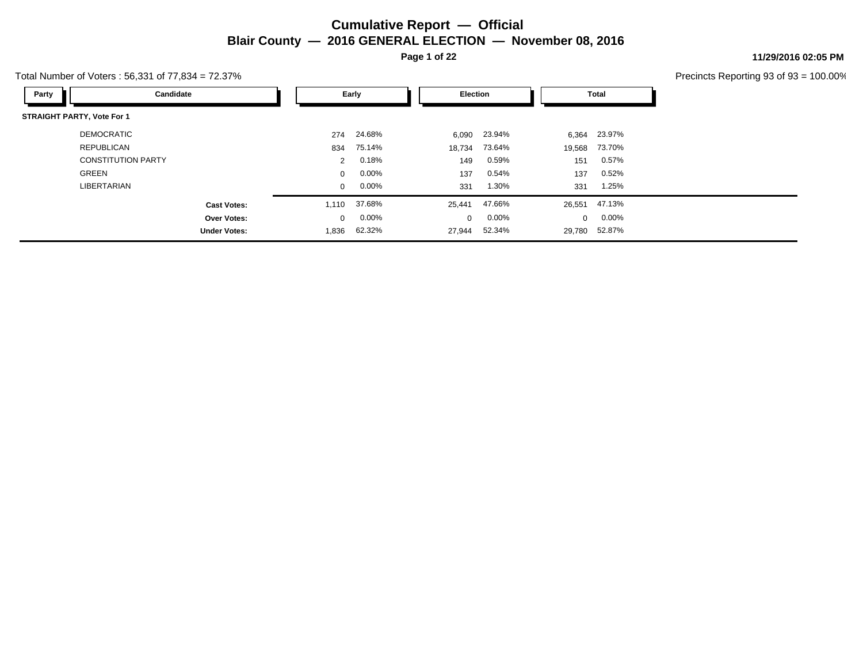**Page 1 of 22**

#### **11/29/2016 02:05 PM**

|                                   | Total Number of Voters: 56,331 of 77,834 = 72.37% |              |          |                 |          |              |               | Precincts Reporting 93 of 93 |
|-----------------------------------|---------------------------------------------------|--------------|----------|-----------------|----------|--------------|---------------|------------------------------|
| Party                             | Candidate                                         |              | Early    | <b>Election</b> |          |              | <b>Total</b>  |                              |
| <b>STRAIGHT PARTY, Vote For 1</b> |                                                   |              |          |                 |          |              |               |                              |
| <b>DEMOCRATIC</b>                 |                                                   | 274          | 24.68%   | 6,090           | 23.94%   | 6,364        | 23.97%        |                              |
| <b>REPUBLICAN</b>                 |                                                   | 834          | 75.14%   | 18,734          | 73.64%   | 19,568       | 73.70%        |                              |
|                                   | <b>CONSTITUTION PARTY</b>                         | 2            | 0.18%    | 149             | 0.59%    | 151          | $0.57\%$      |                              |
| GREEN                             |                                                   | $\mathbf{0}$ | $0.00\%$ | 137             | 0.54%    | 137          | 0.52%         |                              |
| LIBERTARIAN                       |                                                   | $\mathbf{0}$ | $0.00\%$ | 331             | 1.30%    | 331          | 1.25%         |                              |
|                                   | <b>Cast Votes:</b>                                | 1,110        | 37.68%   | 25,441          | 47.66%   |              | 26,551 47.13% |                              |
|                                   | Over Votes:                                       | $\mathbf{0}$ | $0.00\%$ | $\Omega$        | $0.00\%$ | $\mathbf{0}$ | $0.00\%$      |                              |
|                                   | <b>Under Votes:</b>                               | 1,836        | 62.32%   | 27,944          | 52.34%   |              | 29,780 52.87% |                              |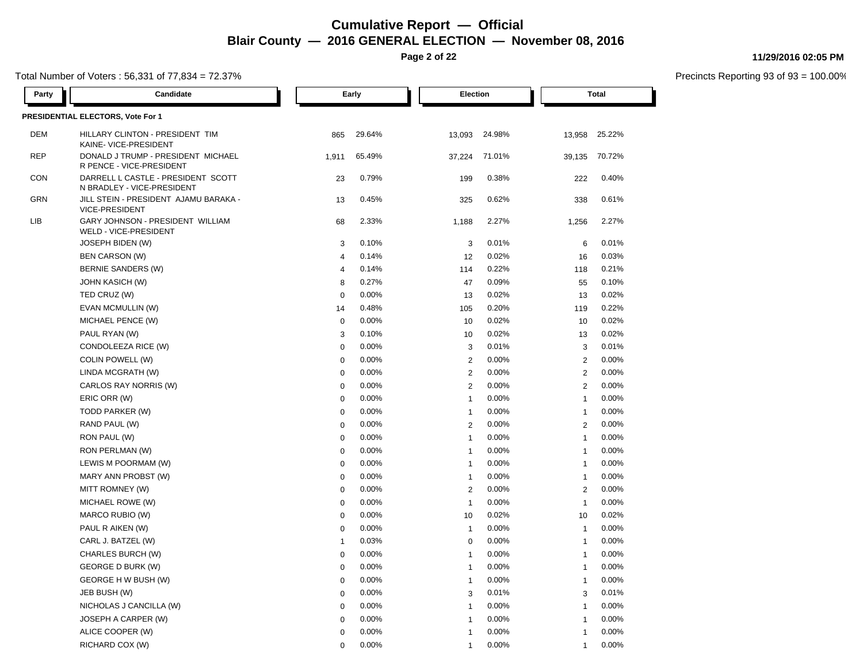**Page 2 of 22**

### Total Number of Voters : 56,331 of 77,834 = 72.37%

**11/29/2016 02:05 PM**

| Party      | Candidate                                                        |                  | Early  | Election       |        |                | <b>Total</b> |
|------------|------------------------------------------------------------------|------------------|--------|----------------|--------|----------------|--------------|
|            | PRESIDENTIAL ELECTORS, Vote For 1                                |                  |        |                |        |                |              |
| <b>DEM</b> | HILLARY CLINTON - PRESIDENT TIM<br>KAINE- VICE-PRESIDENT         | 865              | 29.64% | 13,093         | 24.98% | 13,958         | 25.22%       |
| <b>REP</b> | DONALD J TRUMP - PRESIDENT MICHAEL<br>R PENCE - VICE-PRESIDENT   | 1,911            | 65.49% | 37,224         | 71.01% | 39,135         | 70.72%       |
| <b>CON</b> | DARRELL L CASTLE - PRESIDENT SCOTT<br>N BRADLEY - VICE-PRESIDENT | 23               | 0.79%  | 199            | 0.38%  | 222            | 0.40%        |
| <b>GRN</b> | JILL STEIN - PRESIDENT AJAMU BARAKA -<br>VICE-PRESIDENT          | 13               | 0.45%  | 325            | 0.62%  | 338            | 0.61%        |
| LIB        | GARY JOHNSON - PRESIDENT WILLIAM<br>WELD - VICE-PRESIDENT        | 68               | 2.33%  | 1,188          | 2.27%  | 1,256          | 2.27%        |
|            | JOSEPH BIDEN (W)                                                 | $\sqrt{3}$       | 0.10%  | 3              | 0.01%  | 6              | 0.01%        |
|            | <b>BEN CARSON (W)</b>                                            | $\overline{4}$   | 0.14%  | 12             | 0.02%  | 16             | 0.03%        |
|            | BERNIE SANDERS (W)                                               | $\overline{4}$   | 0.14%  | 114            | 0.22%  | 118            | 0.21%        |
|            | <b>JOHN KASICH (W)</b>                                           | 8                | 0.27%  | 47             | 0.09%  | 55             | 0.10%        |
|            | TED CRUZ (W)                                                     | $\mathbf 0$      | 0.00%  | 13             | 0.02%  | 13             | 0.02%        |
|            | EVAN MCMULLIN (W)                                                | 14               | 0.48%  | 105            | 0.20%  | 119            | 0.22%        |
|            | MICHAEL PENCE (W)                                                | $\boldsymbol{0}$ | 0.00%  | 10             | 0.02%  | 10             | 0.02%        |
|            | PAUL RYAN (W)                                                    | 3                | 0.10%  | 10             | 0.02%  | 13             | 0.02%        |
|            | CONDOLEEZA RICE (W)                                              | $\mathbf 0$      | 0.00%  | 3              | 0.01%  | 3              | 0.01%        |
|            | COLIN POWELL (W)                                                 | $\mathbf 0$      | 0.00%  | $\overline{2}$ | 0.00%  | 2              | 0.00%        |
|            | LINDA MCGRATH (W)                                                | $\mathbf 0$      | 0.00%  | $\overline{2}$ | 0.00%  | 2              | 0.00%        |
|            | CARLOS RAY NORRIS (W)                                            | $\mathbf 0$      | 0.00%  | 2              | 0.00%  | 2              | 0.00%        |
|            | ERIC ORR (W)                                                     | $\mathbf 0$      | 0.00%  | $\overline{1}$ | 0.00%  | $\mathbf{1}$   | 0.00%        |
|            | TODD PARKER (W)                                                  | $\mathbf 0$      | 0.00%  | $\overline{1}$ | 0.00%  | $\mathbf{1}$   | 0.00%        |
|            | RAND PAUL (W)                                                    | $\mathbf 0$      | 0.00%  | 2              | 0.00%  | $\overline{2}$ | 0.00%        |
|            | RON PAUL (W)                                                     | $\mathbf 0$      | 0.00%  | $\overline{1}$ | 0.00%  | $\mathbf{1}$   | 0.00%        |
|            | RON PERLMAN (W)                                                  | $\mathbf 0$      | 0.00%  | $\overline{1}$ | 0.00%  | $\overline{1}$ | 0.00%        |
|            | LEWIS M POORMAM (W)                                              | $\boldsymbol{0}$ | 0.00%  | $\overline{1}$ | 0.00%  | $\mathbf{1}$   | 0.00%        |
|            | MARY ANN PROBST (W)                                              | $\mathbf 0$      | 0.00%  | $\overline{1}$ | 0.00%  | $\overline{1}$ | 0.00%        |
|            | MITT ROMNEY (W)                                                  | $\mathbf 0$      | 0.00%  | $\overline{2}$ | 0.00%  | $\overline{2}$ | 0.00%        |
|            | MICHAEL ROWE (W)                                                 | $\mathbf 0$      | 0.00%  | $\overline{1}$ | 0.00%  | $\mathbf{1}$   | 0.00%        |
|            | MARCO RUBIO (W)                                                  | $\mathbf 0$      | 0.00%  | 10             | 0.02%  | 10             | 0.02%        |
|            | PAUL R AIKEN (W)                                                 | $\mathbf 0$      | 0.00%  | $\overline{1}$ | 0.00%  | $\mathbf{1}$   | 0.00%        |
|            | CARL J. BATZEL (W)                                               | $\overline{1}$   | 0.03%  | $\mathbf 0$    | 0.00%  | $\mathbf{1}$   | 0.00%        |
|            | CHARLES BURCH (W)                                                | $\mathbf 0$      | 0.00%  | $\overline{1}$ | 0.00%  | $\mathbf{1}$   | 0.00%        |
|            | <b>GEORGE D BURK (W)</b>                                         | $\mathbf 0$      | 0.00%  | $\overline{1}$ | 0.00%  | $\mathbf{1}$   | 0.00%        |
|            | GEORGE H W BUSH (W)                                              | $\mathbf 0$      | 0.00%  | $\overline{1}$ | 0.00%  | $\mathbf{1}$   | 0.00%        |
|            | JEB BUSH (W)                                                     | $\mathbf 0$      | 0.00%  | 3              | 0.01%  | 3              | 0.01%        |
|            | NICHOLAS J CANCILLA (W)                                          | $\mathbf 0$      | 0.00%  | $\overline{1}$ | 0.00%  | $\mathbf{1}$   | 0.00%        |
|            | JOSEPH A CARPER (W)                                              | $\mathbf 0$      | 0.00%  | $\overline{1}$ | 0.00%  | 1              | 0.00%        |
|            | ALICE COOPER (W)                                                 | $\mathbf 0$      | 0.00%  | $\overline{1}$ | 0.00%  | $\mathbf{1}$   | 0.00%        |
|            | RICHARD COX (W)                                                  | $\Omega$         | 0.00%  | 1              | 0.00%  | $\mathbf{1}$   | 0.00%        |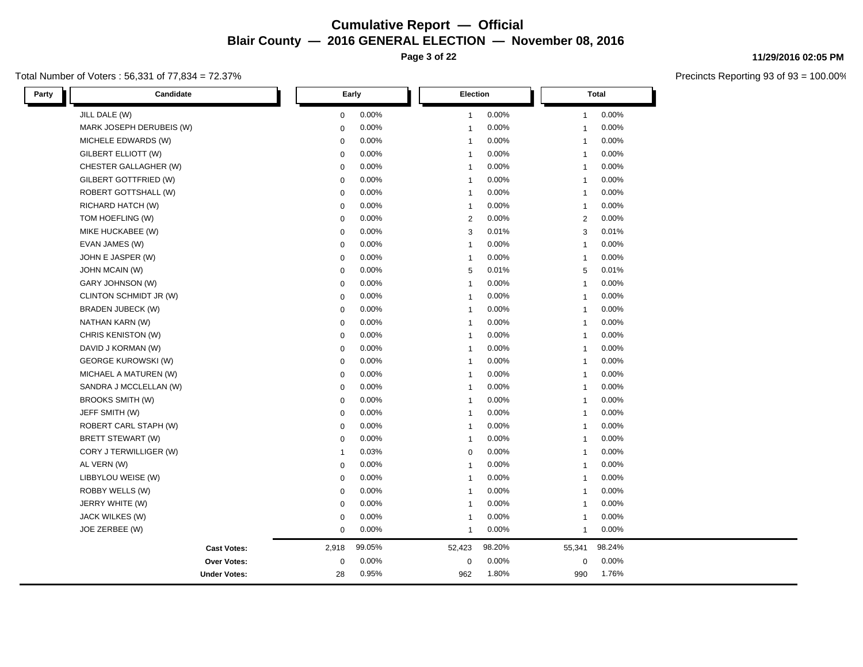**Page 3 of 22**

### Total Number of Voters : 56,331 of 77,834 = 72.37%

**11/29/2016 02:05 PM**

| Party | Candidate                  |                | Early  | Election       |        | <b>Total</b>                     |  |
|-------|----------------------------|----------------|--------|----------------|--------|----------------------------------|--|
|       | JILL DALE (W)              | $\mathbf 0$    | 0.00%  | $\mathbf{1}$   | 0.00%  | 0.00%<br>$\mathbf{1}$            |  |
|       | MARK JOSEPH DERUBEIS (W)   | $\mathbf 0$    | 0.00%  | $\mathbf{1}$   | 0.00%  | 0.00%<br>-1                      |  |
|       | MICHELE EDWARDS (W)        | $\mathbf 0$    | 0.00%  | $\mathbf{1}$   | 0.00%  | 0.00%<br>-1                      |  |
|       | GILBERT ELLIOTT (W)        | $\mathbf 0$    | 0.00%  | $\overline{1}$ | 0.00%  | 0.00%<br>-1                      |  |
|       | CHESTER GALLAGHER (W)      | $\mathbf 0$    | 0.00%  | $\overline{1}$ | 0.00%  | 0.00%                            |  |
|       | GILBERT GOTTFRIED (W)      | $\mathbf 0$    | 0.00%  | $\mathbf{1}$   | 0.00%  | 0.00%                            |  |
|       | ROBERT GOTTSHALL (W)       | $\mathbf 0$    | 0.00%  | $\mathbf{1}$   | 0.00%  | 0.00%<br>-1                      |  |
|       | RICHARD HATCH (W)          | 0              | 0.00%  | $\mathbf{1}$   | 0.00%  | 0.00%<br>-1                      |  |
|       | TOM HOEFLING (W)           | $\mathbf 0$    | 0.00%  | 2              | 0.00%  | 0.00%<br>2                       |  |
|       | MIKE HUCKABEE (W)          | $\mathbf 0$    | 0.00%  | 3              | 0.01%  | 0.01%<br>3                       |  |
|       | EVAN JAMES (W)             | $\mathbf 0$    | 0.00%  | $\mathbf{1}$   | 0.00%  | 0.00%<br>-1                      |  |
|       | JOHN E JASPER (W)          | $\mathsf 0$    | 0.00%  | $\mathbf{1}$   | 0.00%  | 0.00%<br>$\overline{1}$          |  |
|       | JOHN MCAIN (W)             | $\mathbf 0$    | 0.00%  | 5              | 0.01%  | 0.01%<br>5                       |  |
|       | GARY JOHNSON (W)           | $\mathbf 0$    | 0.00%  | $\overline{1}$ | 0.00%  | 0.00%<br>$\overline{\mathbf{1}}$ |  |
|       | CLINTON SCHMIDT JR (W)     | $\mathbf 0$    | 0.00%  | $\overline{1}$ | 0.00%  | 0.00%<br>$\overline{1}$          |  |
|       | <b>BRADEN JUBECK (W)</b>   | $\mathbf 0$    | 0.00%  | $\overline{1}$ | 0.00%  | 0.00%<br>-1                      |  |
|       | NATHAN KARN (W)            | $\mathbf 0$    | 0.00%  | $\overline{1}$ | 0.00%  | 0.00%<br>-1                      |  |
|       | CHRIS KENISTON (W)         | $\mathbf 0$    | 0.00%  | $\overline{1}$ | 0.00%  | 0.00%                            |  |
|       | DAVID J KORMAN (W)         | $\mathbf 0$    | 0.00%  | $\mathbf{1}$   | 0.00%  | 0.00%                            |  |
|       | <b>GEORGE KUROWSKI (W)</b> | $\mathbf 0$    | 0.00%  | $\mathbf{1}$   | 0.00%  | 0.00%<br>-1                      |  |
|       | MICHAEL A MATUREN (W)      | $\mathbf 0$    | 0.00%  | $\mathbf{1}$   | 0.00%  | 0.00%<br>-1                      |  |
|       | SANDRA J MCCLELLAN (W)     | $\mathbf 0$    | 0.00%  | $\mathbf{1}$   | 0.00%  | 0.00%<br>-1                      |  |
|       | <b>BROOKS SMITH (W)</b>    | $\mathbf 0$    | 0.00%  | $\mathbf 1$    | 0.00%  | 0.00%<br>-1                      |  |
|       | JEFF SMITH (W)             | $\mathbf 0$    | 0.00%  | $\mathbf 1$    | 0.00%  | 0.00%<br>-1                      |  |
|       | ROBERT CARL STAPH (W)      | $\mathsf 0$    | 0.00%  | $\mathbf{1}$   | 0.00%  | 0.00%                            |  |
|       | BRETT STEWART (W)          | $\mathbf 0$    | 0.00%  | $\mathbf{1}$   | 0.00%  | 0.00%<br>$\overline{1}$          |  |
|       | CORY J TERWILLIGER (W)     | $\overline{1}$ | 0.03%  | $\mathbf 0$    | 0.00%  | 0.00%<br>$\overline{1}$          |  |
|       | AL VERN (W)                | $\Omega$       | 0.00%  | $\mathbf{1}$   | 0.00%  | 0.00%<br>-1                      |  |
|       | LIBBYLOU WEISE (W)         | $\Omega$       | 0.00%  | $\overline{1}$ | 0.00%  | 0.00%<br>$\overline{1}$          |  |
|       | ROBBY WELLS (W)            | $\Omega$       | 0.00%  | $\overline{1}$ | 0.00%  | 0.00%<br>-1                      |  |
|       | JERRY WHITE (W)            | $\mathbf 0$    | 0.00%  | $\mathbf{1}$   | 0.00%  | 0.00%                            |  |
|       | JACK WILKES (W)            | $\mathbf 0$    | 0.00%  | $\mathbf{1}$   | 0.00%  | 0.00%<br>-1                      |  |
|       | JOE ZERBEE (W)             | $\mathbf 0$    | 0.00%  | $\mathbf{1}$   | 0.00%  | 0.00%<br>-1                      |  |
|       | <b>Cast Votes:</b>         | 2,918          | 99.05% | 52,423         | 98.20% | 98.24%<br>55,341                 |  |
|       | Over Votes:                | $\mathbf 0$    | 0.00%  | 0              | 0.00%  | 0.00%<br>$\mathbf 0$             |  |
|       | <b>Under Votes:</b>        | 28             | 0.95%  | 962            | 1.80%  | 1.76%<br>990                     |  |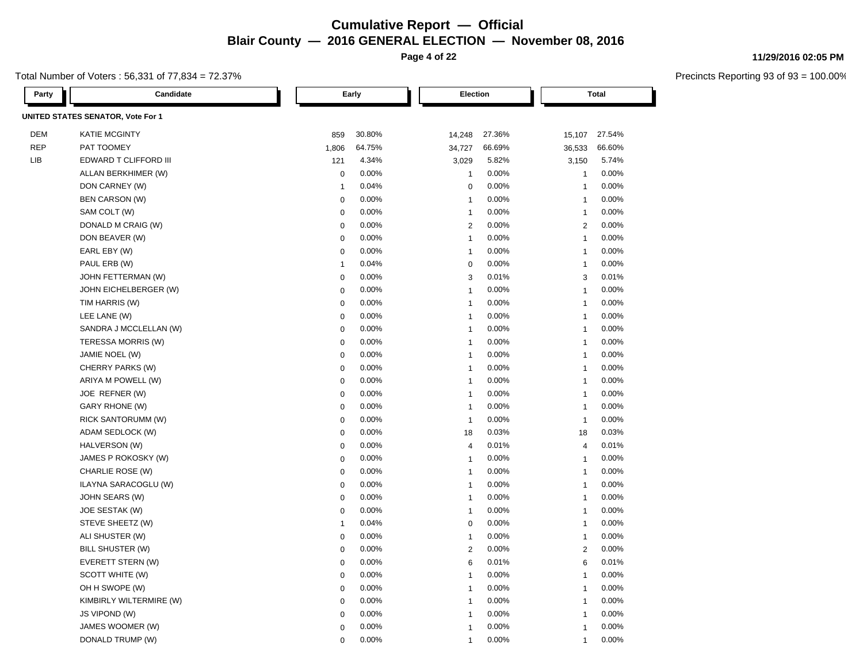**Page 4 of 22**

### Total Number of Voters : 56,331 of 77,834 = 72.37%

**11/29/2016 02:05 PM**

| Party      | Candidate                         |                | Early  | <b>Election</b> |        |                | <b>Total</b> |
|------------|-----------------------------------|----------------|--------|-----------------|--------|----------------|--------------|
|            | UNITED STATES SENATOR, Vote For 1 |                |        |                 |        |                |              |
| <b>DEM</b> | <b>KATIE MCGINTY</b>              | 859            | 30.80% | 14,248          | 27.36% | 15,107         | 27.54%       |
| <b>REP</b> | PAT TOOMEY                        | 1,806          | 64.75% | 34,727          | 66.69% | 36,533         | 66.60%       |
| LIB        | EDWARD T CLIFFORD III             | 121            | 4.34%  | 3,029           | 5.82%  | 3,150          | 5.74%        |
|            | ALLAN BERKHIMER (W)               | $\mathbf 0$    | 0.00%  | $\overline{1}$  | 0.00%  | $\mathbf{1}$   | 0.00%        |
|            | DON CARNEY (W)                    | $\overline{1}$ | 0.04%  | $\mathbf 0$     | 0.00%  | $\mathbf{1}$   | 0.00%        |
|            | <b>BEN CARSON (W)</b>             | $\mathbf 0$    | 0.00%  | $\overline{1}$  | 0.00%  | -1             | 0.00%        |
|            | SAM COLT (W)                      | $\mathbf 0$    | 0.00%  | $\overline{1}$  | 0.00%  | $\mathbf{1}$   | 0.00%        |
|            | DONALD M CRAIG (W)                | $\mathbf 0$    | 0.00%  | 2               | 0.00%  | $\overline{2}$ | 0.00%        |
|            | DON BEAVER (W)                    | $\mathbf 0$    | 0.00%  | $\overline{1}$  | 0.00%  | $\mathbf{1}$   | 0.00%        |
|            | EARL EBY (W)                      | $\mathbf 0$    | 0.00%  | $\overline{1}$  | 0.00%  | $\mathbf{1}$   | 0.00%        |
|            | PAUL ERB (W)                      | $\overline{1}$ | 0.04%  | $\mathbf 0$     | 0.00%  | $\mathbf{1}$   | 0.00%        |
|            | JOHN FETTERMAN (W)                | $\mathbf 0$    | 0.00%  | 3               | 0.01%  | 3              | 0.01%        |
|            | JOHN EICHELBERGER (W)             | $\mathbf 0$    | 0.00%  | $\overline{1}$  | 0.00%  | $\mathbf{1}$   | 0.00%        |
|            | TIM HARRIS (W)                    | $\mathbf 0$    | 0.00%  | $\overline{1}$  | 0.00%  | $\mathbf{1}$   | 0.00%        |
|            | LEE LANE (W)                      | $\mathbf 0$    | 0.00%  | $\overline{1}$  | 0.00%  | 1              | 0.00%        |
|            | SANDRA J MCCLELLAN (W)            | $\mathbf 0$    | 0.00%  | $\overline{1}$  | 0.00%  | $\overline{1}$ | 0.00%        |
|            | TERESSA MORRIS (W)                | $\mathbf 0$    | 0.00%  | $\overline{1}$  | 0.00%  | $\overline{1}$ | 0.00%        |
|            | JAMIE NOEL (W)                    | $\mathbf 0$    | 0.00%  | $\overline{1}$  | 0.00%  | $\overline{1}$ | 0.00%        |
|            | CHERRY PARKS (W)                  | $\mathbf 0$    | 0.00%  | $\overline{1}$  | 0.00%  | 1              | 0.00%        |
|            | ARIYA M POWELL (W)                | $\mathbf 0$    | 0.00%  | $\overline{1}$  | 0.00%  | $\mathbf{1}$   | 0.00%        |
|            | JOE REFNER (W)                    | $\mathbf 0$    | 0.00%  | $\overline{1}$  | 0.00%  | $\mathbf{1}$   | 0.00%        |
|            | <b>GARY RHONE (W)</b>             | $\mathbf 0$    | 0.00%  | $\overline{1}$  | 0.00%  | $\mathbf{1}$   | 0.00%        |
|            | RICK SANTORUMM (W)                | $\mathbf 0$    | 0.00%  | $\overline{1}$  | 0.00%  | $\mathbf{1}$   | 0.00%        |
|            | ADAM SEDLOCK (W)                  | $\mathbf 0$    | 0.00%  | 18              | 0.03%  | 18             | 0.03%        |
|            | HALVERSON (W)                     | $\mathbf 0$    | 0.00%  | $\overline{4}$  | 0.01%  | $\overline{4}$ | 0.01%        |
|            | JAMES P ROKOSKY (W)               | $\mathbf 0$    | 0.00%  | $\overline{1}$  | 0.00%  | $\mathbf{1}$   | 0.00%        |
|            | CHARLIE ROSE (W)                  | $\mathbf 0$    | 0.00%  | $\overline{1}$  | 0.00%  | $\mathbf{1}$   | 0.00%        |
|            | ILAYNA SARACOGLU (W)              | $\mathbf 0$    | 0.00%  | $\overline{1}$  | 0.00%  | $\mathbf{1}$   | 0.00%        |
|            | JOHN SEARS (W)                    | $\mathbf 0$    | 0.00%  | $\overline{1}$  | 0.00%  | $\mathbf{1}$   | 0.00%        |
|            | JOE SESTAK (W)                    | $\mathbf 0$    | 0.00%  | $\overline{1}$  | 0.00%  | $\mathbf{1}$   | 0.00%        |
|            | STEVE SHEETZ (W)                  | $\overline{1}$ | 0.04%  | $\mathbf 0$     | 0.00%  | $\mathbf{1}$   | 0.00%        |
|            | ALI SHUSTER (W)                   | $\mathbf 0$    | 0.00%  | $\overline{1}$  | 0.00%  | $\mathbf{1}$   | 0.00%        |
|            | BILL SHUSTER (W)                  | $\mathbf 0$    | 0.00%  | $\overline{2}$  | 0.00%  | $\overline{2}$ | 0.00%        |
|            | EVERETT STERN (W)                 | $\mathbf 0$    | 0.00%  | 6               | 0.01%  | 6              | 0.01%        |
|            | SCOTT WHITE (W)                   | $\mathbf 0$    | 0.00%  | $\overline{1}$  | 0.00%  | $\overline{1}$ | 0.00%        |
|            | OH H SWOPE (W)                    | $\mathbf 0$    | 0.00%  | $\overline{1}$  | 0.00%  | $\overline{1}$ | 0.00%        |
|            | KIMBIRLY WILTERMIRE (W)           | $\mathbf 0$    | 0.00%  | $\overline{1}$  | 0.00%  | $\mathbf{1}$   | 0.00%        |
|            | JS VIPOND (W)                     | $\mathbf 0$    | 0.00%  | $\overline{1}$  | 0.00%  | 1              | 0.00%        |
|            | JAMES WOOMER (W)                  | $\mathbf 0$    | 0.00%  | $\overline{1}$  | 0.00%  | $\mathbf{1}$   | 0.00%        |
|            | DONALD TRUMP (W)                  | $\mathbf 0$    | 0.00%  | 1               | 0.00%  | 1              | 0.00%        |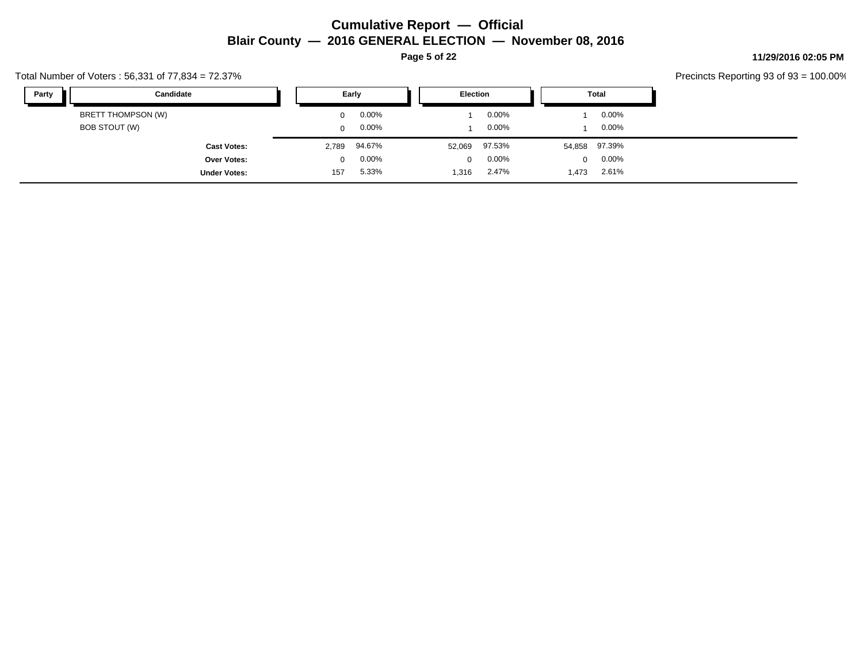**Page 5 of 22**

### **11/29/2016 02:05 PM**

Precincts Reporting 93 of 93 = 100.00%

|       |                     |          |          |                 |          |       |               | ັ |
|-------|---------------------|----------|----------|-----------------|----------|-------|---------------|---|
| Party | Candidate           |          | Early    | <b>Election</b> |          |       | Total         |   |
|       | BRETT THOMPSON (W)  | $\Omega$ | $0.00\%$ |                 | $0.00\%$ |       | $0.00\%$      |   |
|       | BOB STOUT (W)       | 0        | $0.00\%$ |                 | $0.00\%$ |       | $0.00\%$      |   |
|       | <b>Cast Votes:</b>  | 2,789    | 94.67%   | 52,069          | 97.53%   |       | 54,858 97.39% |   |
|       | <b>Over Votes:</b>  | $\Omega$ | $0.00\%$ | $\mathbf 0$     | $0.00\%$ |       | $0.00\%$<br>0 |   |
|       | <b>Under Votes:</b> | 157      | 5.33%    | 1,316           | 2.47%    | 1,473 | 2.61%         |   |

### Total Number of Voters : 56,331 of 77,834 = 72.37%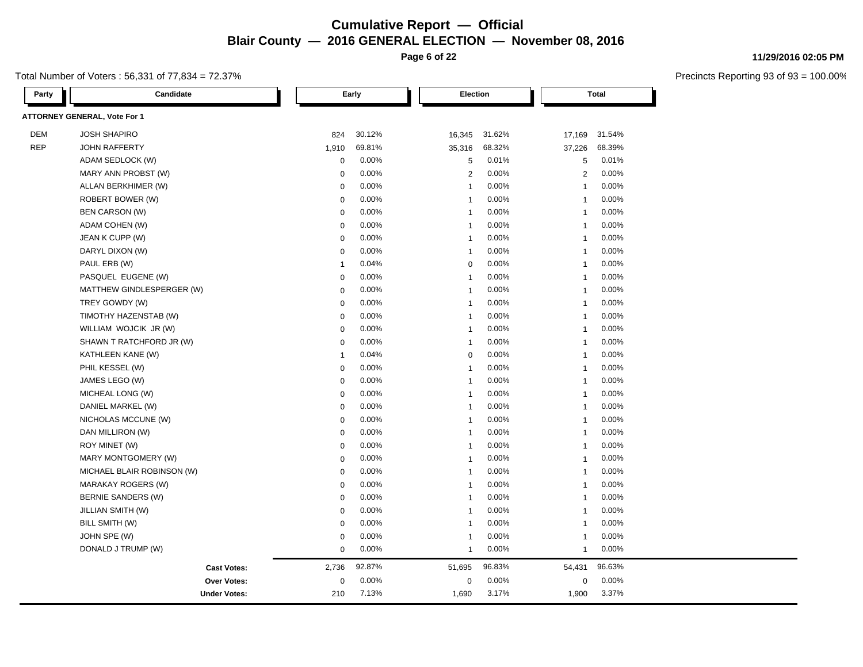**Page 6 of 22**

### Total Number of Voters : 56,331 of 77,834 = 72.37%

**11/29/2016 02:05 PM**

| Party      | Candidate                           |              | Early    | Election       |        |                | <b>Total</b> |
|------------|-------------------------------------|--------------|----------|----------------|--------|----------------|--------------|
|            | <b>ATTORNEY GENERAL, Vote For 1</b> |              |          |                |        |                |              |
| <b>DEM</b> | <b>JOSH SHAPIRO</b>                 | 824          | 30.12%   | 16,345         | 31.62% | 17,169         | 31.54%       |
| <b>REP</b> | <b>JOHN RAFFERTY</b>                | 1,910        | 69.81%   | 35,316         | 68.32% | 37,226         | 68.39%       |
|            | ADAM SEDLOCK (W)                    | 0            | 0.00%    | 5              | 0.01%  | 5              | 0.01%        |
|            | MARY ANN PROBST (W)                 | 0            | 0.00%    | 2              | 0.00%  | $\overline{2}$ | 0.00%        |
|            | ALLAN BERKHIMER (W)                 | 0            | 0.00%    | $\mathbf{1}$   | 0.00%  | $\mathbf{1}$   | 0.00%        |
|            | ROBERT BOWER (W)                    | $\mathbf 0$  | $0.00\%$ | $\mathbf{1}$   | 0.00%  | $\mathbf{1}$   | 0.00%        |
|            | <b>BEN CARSON (W)</b>               | $\pmb{0}$    | 0.00%    | $\overline{1}$ | 0.00%  | $\mathbf{1}$   | 0.00%        |
|            | ADAM COHEN (W)                      | 0            | 0.00%    | $\mathbf{1}$   | 0.00%  | $\mathbf{1}$   | 0.00%        |
|            | JEAN K CUPP (W)                     | 0            | 0.00%    | $\mathbf{1}$   | 0.00%  | $\mathbf{1}$   | 0.00%        |
|            | DARYL DIXON (W)                     | $\mathbf 0$  | 0.00%    | -1             | 0.00%  | $\mathbf{1}$   | 0.00%        |
|            | PAUL ERB (W)                        | $\mathbf{1}$ | 0.04%    | $\Omega$       | 0.00%  | $\mathbf{1}$   | 0.00%        |
|            | PASQUEL EUGENE (W)                  | 0            | 0.00%    | $\mathbf{1}$   | 0.00%  | 1              | 0.00%        |
|            | MATTHEW GINDLESPERGER (W)           | 0            | 0.00%    | $\mathbf{1}$   | 0.00%  | -1             | 0.00%        |
|            | TREY GOWDY (W)                      | $\mathbf 0$  | 0.00%    | $\overline{1}$ | 0.00%  | $\mathbf{1}$   | 0.00%        |
|            | TIMOTHY HAZENSTAB (W)               | $\pmb{0}$    | 0.00%    | $\mathbf{1}$   | 0.00%  | $\mathbf{1}$   | 0.00%        |
|            | WILLIAM WOJCIK JR (W)               | 0            | 0.00%    | $\mathbf{1}$   | 0.00%  | $\mathbf{1}$   | 0.00%        |
|            | SHAWN T RATCHFORD JR (W)            | $\mathbf 0$  | 0.00%    | 1              | 0.00%  | -1             | 0.00%        |
|            | KATHLEEN KANE (W)                   | $\mathbf{1}$ | 0.04%    | $\Omega$       | 0.00%  | $\mathbf{1}$   | 0.00%        |
|            | PHIL KESSEL (W)                     | $\pmb{0}$    | 0.00%    | $\overline{1}$ | 0.00%  | $\mathbf{1}$   | 0.00%        |
|            | JAMES LEGO (W)                      | 0            | 0.00%    | -1             | 0.00%  | 1              | 0.00%        |
|            | MICHEAL LONG (W)                    | 0            | 0.00%    | -1             | 0.00%  | -1             | 0.00%        |
|            | DANIEL MARKEL (W)                   | 0            | 0.00%    | $\mathbf{1}$   | 0.00%  | $\mathbf{1}$   | 0.00%        |
|            | NICHOLAS MCCUNE (W)                 | 0            | 0.00%    | $\mathbf{1}$   | 0.00%  | $\mathbf{1}$   | 0.00%        |
|            | DAN MILLIRON (W)                    | $\mathbf 0$  | 0.00%    | $\mathbf{1}$   | 0.00%  | $\mathbf{1}$   | 0.00%        |
|            | ROY MINET (W)                       | $\pmb{0}$    | 0.00%    | $\mathbf{1}$   | 0.00%  | $\mathbf{1}$   | 0.00%        |
|            | MARY MONTGOMERY (W)                 | $\pmb{0}$    | 0.00%    | $\mathbf{1}$   | 0.00%  | $\mathbf{1}$   | 0.00%        |
|            | MICHAEL BLAIR ROBINSON (W)          | $\pmb{0}$    | 0.00%    | $\mathbf{1}$   | 0.00%  | -1             | 0.00%        |
|            | <b>MARAKAY ROGERS (W)</b>           | 0            | 0.00%    | $\mathbf{1}$   | 0.00%  | -1             | 0.00%        |
|            | <b>BERNIE SANDERS (W)</b>           | $\pmb{0}$    | 0.00%    | $\mathbf{1}$   | 0.00%  | $\mathbf{1}$   | 0.00%        |
|            | JILLIAN SMITH (W)                   | 0            | 0.00%    | $\mathbf{1}$   | 0.00%  | $\mathbf{1}$   | 0.00%        |
|            | BILL SMITH (W)                      | 0            | 0.00%    | $\mathbf{1}$   | 0.00%  | $\mathbf{1}$   | 0.00%        |
|            | JOHN SPE (W)                        | $\pmb{0}$    | 0.00%    | -1             | 0.00%  | $\mathbf{1}$   | 0.00%        |
|            | DONALD J TRUMP (W)                  | $\mathbf 0$  | 0.00%    | $\mathbf{1}$   | 0.00%  | $\mathbf{1}$   | 0.00%        |
|            | <b>Cast Votes:</b>                  | 2,736        | 92.87%   | 51,695         | 96.83% | 54,431         | 96.63%       |
|            | Over Votes:                         | $\pmb{0}$    | 0.00%    | $\mathbf 0$    | 0.00%  | $\mathbf 0$    | 0.00%        |
|            | <b>Under Votes:</b>                 | 210          | 7.13%    | 1,690          | 3.17%  | 1,900          | 3.37%        |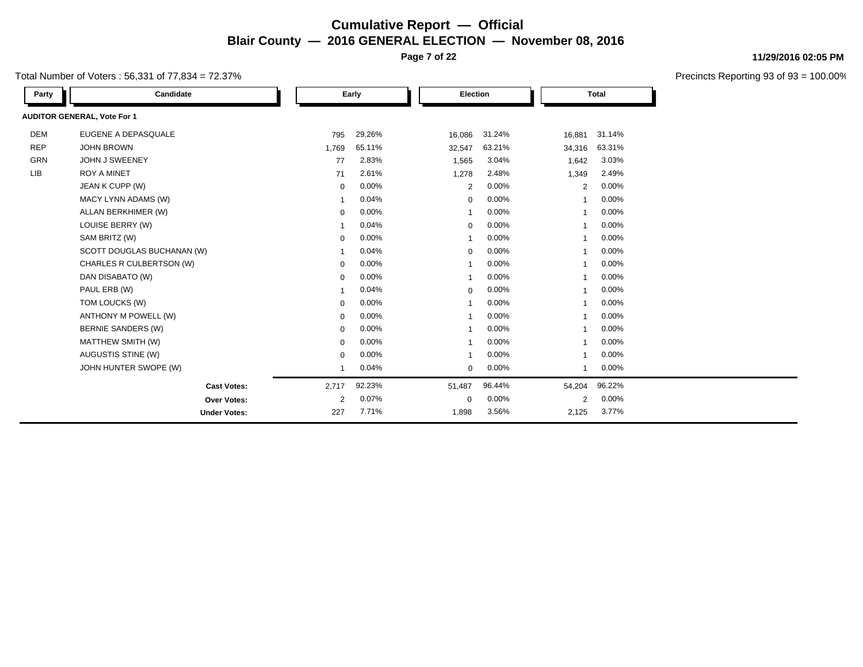**Page 7 of 22**

Total Number of Voters : 56,331 of 77,834 = 72.37%

| Party      | Candidate                          |             | Early  | <b>Election</b> |        |                          | <b>Total</b> |
|------------|------------------------------------|-------------|--------|-----------------|--------|--------------------------|--------------|
|            | <b>AUDITOR GENERAL, Vote For 1</b> |             |        |                 |        |                          |              |
| <b>DEM</b> | EUGENE A DEPASQUALE                | 795         | 29.26% | 16,086          | 31.24% | 16,881                   | 31.14%       |
| <b>REP</b> | <b>JOHN BROWN</b>                  | 1,769       | 65.11% | 32,547          | 63.21% | 34,316                   | 63.31%       |
| GRN        | JOHN J SWEENEY                     | 77          | 2.83%  | 1,565           | 3.04%  | 1,642                    | 3.03%        |
| LIB        | <b>ROY A MINET</b>                 | 71          | 2.61%  | 1,278           | 2.48%  | 1,349                    | 2.49%        |
|            | JEAN K CUPP (W)                    | $\mathbf 0$ | 0.00%  | 2               | 0.00%  | $\overline{2}$           | 0.00%        |
|            | MACY LYNN ADAMS (W)                | -1          | 0.04%  | $\mathbf 0$     | 0.00%  | $\overline{\phantom{a}}$ | 0.00%        |
|            | ALLAN BERKHIMER (W)                | $\mathbf 0$ | 0.00%  | $\mathbf{1}$    | 0.00%  | $\overline{ }$           | 0.00%        |
|            | LOUISE BERRY (W)                   | $\mathbf 1$ | 0.04%  | $\mathbf 0$     | 0.00%  | $\overline{\mathbf{1}}$  | 0.00%        |
|            | SAM BRITZ (W)                      | $\mathbf 0$ | 0.00%  | $\mathbf{1}$    | 0.00%  | $\overline{\phantom{a}}$ | 0.00%        |
|            | SCOTT DOUGLAS BUCHANAN (W)         | -1          | 0.04%  | $\mathbf 0$     | 0.00%  | -1                       | 0.00%        |
|            | CHARLES R CULBERTSON (W)           | $\mathbf 0$ | 0.00%  | -1              | 0.00%  | $\overline{\phantom{a}}$ | 0.00%        |
|            | DAN DISABATO (W)                   | 0           | 0.00%  | $\mathbf{1}$    | 0.00%  | -1                       | 0.00%        |
|            | PAUL ERB (W)                       |             | 0.04%  | $\mathbf 0$     | 0.00%  | 1                        | 0.00%        |
|            | TOM LOUCKS (W)                     | 0           | 0.00%  | $\mathbf 1$     | 0.00%  | $\overline{\phantom{a}}$ | 0.00%        |
|            | ANTHONY M POWELL (W)               | 0           | 0.00%  | $\overline{1}$  | 0.00%  | 1                        | 0.00%        |
|            | <b>BERNIE SANDERS (W)</b>          | 0           | 0.00%  | 1               | 0.00%  | -1                       | 0.00%        |
|            | MATTHEW SMITH (W)                  | $\mathbf 0$ | 0.00%  | $\mathbf{1}$    | 0.00%  | -1                       | 0.00%        |
|            | AUGUSTIS STINE (W)                 | $\mathbf 0$ | 0.00%  | $\mathbf{1}$    | 0.00%  | $\overline{ }$           | 0.00%        |
|            | JOHN HUNTER SWOPE (W)              | 1           | 0.04%  | $\mathbf 0$     | 0.00%  | 1                        | 0.00%        |
|            | <b>Cast Votes:</b>                 | 2,717       | 92.23% | 51,487          | 96.44% | 54,204                   | 96.22%       |
|            | Over Votes:                        | 2           | 0.07%  | $\mathbf 0$     | 0.00%  | $\overline{2}$           | 0.00%        |
|            | <b>Under Votes:</b>                | 227         | 7.71%  | 1,898           | 3.56%  | 2,125                    | 3.77%        |

### **11/29/2016 02:05 PM**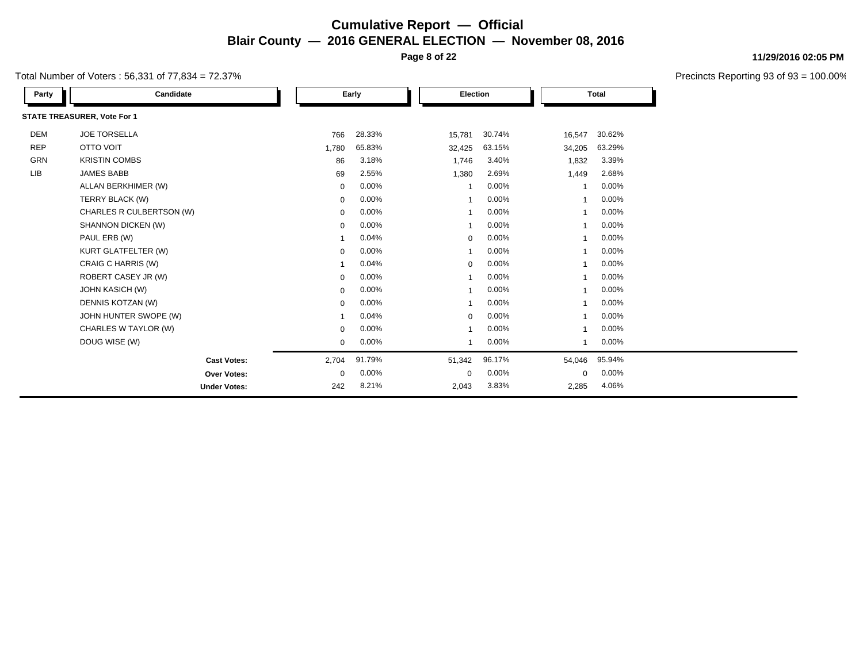**Page 8 of 22**

Total Number of Voters : 56,331 of 77,834 = 72.37%

| Party      | Candidate                   |             | Early  |             | Election |                          | <b>Total</b> |  |
|------------|-----------------------------|-------------|--------|-------------|----------|--------------------------|--------------|--|
|            | STATE TREASURER, Vote For 1 |             |        |             |          |                          |              |  |
| <b>DEM</b> | <b>JOE TORSELLA</b>         | 766         | 28.33% | 15,781      | 30.74%   | 16,547                   | 30.62%       |  |
| <b>REP</b> | <b>OTTO VOIT</b>            | 1,780       | 65.83% | 32,425      | 63.15%   | 34,205                   | 63.29%       |  |
| GRN        | <b>KRISTIN COMBS</b>        | 86          | 3.18%  | 1,746       | 3.40%    | 1,832                    | 3.39%        |  |
| <b>LIB</b> | <b>JAMES BABB</b>           | 69          | 2.55%  | 1,380       | 2.69%    | 1,449                    | 2.68%        |  |
|            | ALLAN BERKHIMER (W)         | $\mathbf 0$ | 0.00%  |             | 0.00%    | -1                       | 0.00%        |  |
|            | TERRY BLACK (W)             | $\mathbf 0$ | 0.00%  |             | 0.00%    |                          | 0.00%        |  |
|            | CHARLES R CULBERTSON (W)    | $\mathbf 0$ | 0.00%  | -1          | 0.00%    | -1                       | 0.00%        |  |
|            | SHANNON DICKEN (W)          | $\mathbf 0$ | 0.00%  | -1          | 0.00%    | -1                       | 0.00%        |  |
|            | PAUL ERB (W)                |             | 0.04%  | $\mathbf 0$ | 0.00%    |                          | 0.00%        |  |
|            | <b>KURT GLATFELTER (W)</b>  | $\mathbf 0$ | 0.00%  |             | 0.00%    |                          | 0.00%        |  |
|            | CRAIG C HARRIS (W)          |             | 0.04%  | $\mathbf 0$ | 0.00%    |                          | 0.00%        |  |
|            | ROBERT CASEY JR (W)         | $\mathbf 0$ | 0.00%  |             | 0.00%    |                          | 0.00%        |  |
|            | JOHN KASICH (W)             | $\Omega$    | 0.00%  |             | 0.00%    |                          | 0.00%        |  |
|            | DENNIS KOTZAN (W)           | $\mathbf 0$ | 0.00%  |             | 0.00%    |                          | 0.00%        |  |
|            | JOHN HUNTER SWOPE (W)       |             | 0.04%  | $\mathbf 0$ | 0.00%    | -1                       | 0.00%        |  |
|            | CHARLES W TAYLOR (W)        | $\mathbf 0$ | 0.00%  | -1          | 0.00%    | $\overline{\phantom{a}}$ | 0.00%        |  |
|            | DOUG WISE (W)               | $\mathbf 0$ | 0.00%  |             | 0.00%    |                          | 0.00%        |  |
|            | <b>Cast Votes:</b>          | 2,704       | 91.79% | 51,342      | 96.17%   | 54,046                   | 95.94%       |  |
|            | Over Votes:                 | $\Omega$    | 0.00%  | $\mathbf 0$ | 0.00%    | $\Omega$                 | 0.00%        |  |
|            | <b>Under Votes:</b>         | 242         | 8.21%  | 2,043       | 3.83%    | 2,285                    | 4.06%        |  |

### **11/29/2016 02:05 PM**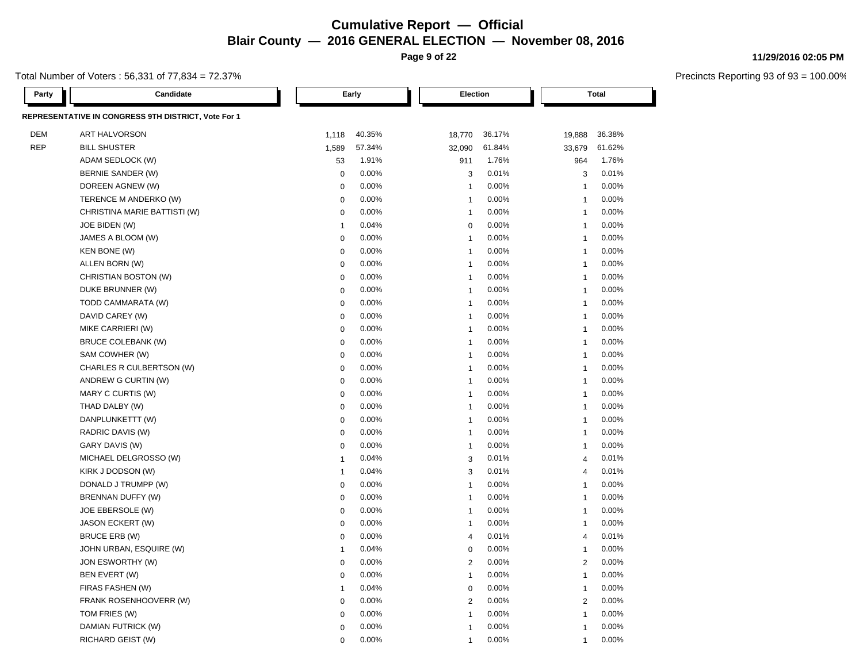**Page 9 of 22**

### Total Number of Voters : 56,331 of 77,834 = 72.37%

**Party Candidate Early Election Total**

| REPRESENTATIVE IN CONGRESS 9TH DISTRICT, Vote For 1 |                              |              |        |                         |          |                         |        |
|-----------------------------------------------------|------------------------------|--------------|--------|-------------------------|----------|-------------------------|--------|
| <b>DEM</b><br>ART HALVORSON                         |                              | 1,118        | 40.35% | 18,770                  | 36.17%   | 19,888                  | 36.38% |
| <b>REP</b><br><b>BILL SHUSTER</b>                   |                              | 1,589        | 57.34% | 32,090                  | 61.84%   | 33,679                  | 61.62% |
| ADAM SEDLOCK (W)                                    |                              | 53           | 1.91%  | 911                     | 1.76%    | 964                     | 1.76%  |
| BERNIE SANDER (W)                                   |                              | $\mathbf 0$  | 0.00%  | 3                       | 0.01%    | 3                       | 0.01%  |
| DOREEN AGNEW (W)                                    |                              | $\mathbf 0$  | 0.00%  | $\overline{1}$          | 0.00%    | $\overline{1}$          | 0.00%  |
| TERENCE M ANDERKO (W)                               |                              | $\mathbf 0$  | 0.00%  | $\overline{1}$          | 0.00%    | $\overline{1}$          | 0.00%  |
|                                                     | CHRISTINA MARIE BATTISTI (W) | $\mathbf 0$  | 0.00%  | $\overline{1}$          | 0.00%    | $\overline{1}$          | 0.00%  |
| JOE BIDEN (W)                                       |                              | $\mathbf{1}$ | 0.04%  | $\mathbf 0$             | 0.00%    | $\overline{1}$          | 0.00%  |
| JAMES A BLOOM (W)                                   |                              | $\mathbf 0$  | 0.00%  | $\overline{1}$          | 0.00%    | $\overline{1}$          | 0.00%  |
| KEN BONE (W)                                        |                              | $\pmb{0}$    | 0.00%  | $\overline{1}$          | 0.00%    | $\overline{1}$          | 0.00%  |
| ALLEN BORN (W)                                      |                              | $\mathbf 0$  | 0.00%  | $\overline{1}$          | 0.00%    | $\overline{1}$          | 0.00%  |
| CHRISTIAN BOSTON (W)                                |                              | $\mathbf 0$  | 0.00%  | $\overline{1}$          | 0.00%    | $\overline{1}$          | 0.00%  |
| DUKE BRUNNER (W)                                    |                              | $\mathbf 0$  | 0.00%  | $\overline{1}$          | 0.00%    | $\overline{1}$          | 0.00%  |
| TODD CAMMARATA (W)                                  |                              | $\mathbf 0$  | 0.00%  | $\overline{1}$          | 0.00%    | $\overline{\mathbf{1}}$ | 0.00%  |
| DAVID CAREY (W)                                     |                              | $\mathbf 0$  | 0.00%  | $\overline{1}$          | 0.00%    | $\overline{1}$          | 0.00%  |
| MIKE CARRIERI (W)                                   |                              | $\mathbf 0$  | 0.00%  | $\overline{1}$          | 0.00%    | $\overline{1}$          | 0.00%  |
| <b>BRUCE COLEBANK (W)</b>                           |                              | $\Omega$     | 0.00%  | $\overline{1}$          | 0.00%    | $\overline{1}$          | 0.00%  |
| SAM COWHER (W)                                      |                              | $\mathbf 0$  | 0.00%  | $\overline{1}$          | 0.00%    | $\overline{1}$          | 0.00%  |
|                                                     | CHARLES R CULBERTSON (W)     | $\mathbf 0$  | 0.00%  | $\overline{1}$          | 0.00%    | $\overline{1}$          | 0.00%  |
| ANDREW G CURTIN (W)                                 |                              | $\mathbf 0$  | 0.00%  | $\overline{1}$          | $0.00\%$ | $\mathbf{1}$            | 0.00%  |
| MARY C CURTIS (W)                                   |                              | $\mathbf 0$  | 0.00%  | $\overline{1}$          | 0.00%    | $\overline{1}$          | 0.00%  |
| THAD DALBY (W)                                      |                              | $\mathbf 0$  | 0.00%  | $\overline{1}$          | 0.00%    | $\overline{1}$          | 0.00%  |
| DANPLUNKETTT (W)                                    |                              | $\mathbf 0$  | 0.00%  | $\overline{1}$          | 0.00%    | $\overline{1}$          | 0.00%  |
| RADRIC DAVIS (W)                                    |                              | $\mathbf 0$  | 0.00%  | $\overline{1}$          | 0.00%    | $\overline{1}$          | 0.00%  |
| GARY DAVIS (W)                                      |                              | $\mathbf 0$  | 0.00%  | $\mathbf{1}$            | 0.00%    | $\mathbf{1}$            | 0.00%  |
| MICHAEL DELGROSSO (W)                               |                              | $\mathbf{1}$ | 0.04%  | 3                       | 0.01%    | $\overline{4}$          | 0.01%  |
| KIRK J DODSON (W)                                   |                              | $\mathbf{1}$ | 0.04%  | 3                       | 0.01%    | $\overline{4}$          | 0.01%  |
| DONALD J TRUMPP (W)                                 |                              | $\mathbf 0$  | 0.00%  | $\overline{1}$          | 0.00%    | $\overline{1}$          | 0.00%  |
| BRENNAN DUFFY (W)                                   |                              | $\mathbf 0$  | 0.00%  | $\overline{1}$          | 0.00%    | $\overline{1}$          | 0.00%  |
| JOE EBERSOLE (W)                                    |                              | $\mathbf 0$  | 0.00%  | $\overline{1}$          | $0.00\%$ | $\overline{1}$          | 0.00%  |
| <b>JASON ECKERT (W)</b>                             |                              | $\mathbf 0$  | 0.00%  | $\overline{1}$          | 0.00%    | $\overline{1}$          | 0.00%  |
| BRUCE ERB (W)                                       |                              | $\mathbf 0$  | 0.00%  | $\overline{4}$          | 0.01%    | $\overline{4}$          | 0.01%  |
| JOHN URBAN, ESQUIRE (W)                             |                              | $\mathbf{1}$ | 0.04%  | $\mathbf 0$             | 0.00%    | $\overline{1}$          | 0.00%  |
| JON ESWORTHY (W)                                    |                              | $\mathbf 0$  | 0.00%  | $\overline{2}$          | 0.00%    | $\overline{2}$          | 0.00%  |
| BEN EVERT (W)                                       |                              | $\mathbf 0$  | 0.00%  | $\mathbf{1}$            | 0.00%    | $\mathbf{1}$            | 0.00%  |
| FIRAS FASHEN (W)                                    |                              | $\mathbf{1}$ | 0.04%  | $\mathbf 0$             | 0.00%    | $\mathbf{1}$            | 0.00%  |
|                                                     | FRANK ROSENHOOVERR (W)       | $\Omega$     | 0.00%  | $\overline{2}$          | 0.00%    | 2                       | 0.00%  |
| TOM FRIES (W)                                       |                              | $\Omega$     | 0.00%  | $\overline{1}$          | 0.00%    | $\overline{1}$          | 0.00%  |
| DAMIAN FUTRICK (W)                                  |                              | $\Omega$     | 0.00%  | $\overline{\mathbf{1}}$ | 0.00%    | $\overline{\mathbf{1}}$ | 0.00%  |
| RICHARD GEIST (W)                                   |                              | $\Omega$     | 0.00%  | $\overline{1}$          | 0.00%    | $\overline{1}$          | 0.00%  |

### **11/29/2016 02:05 PM**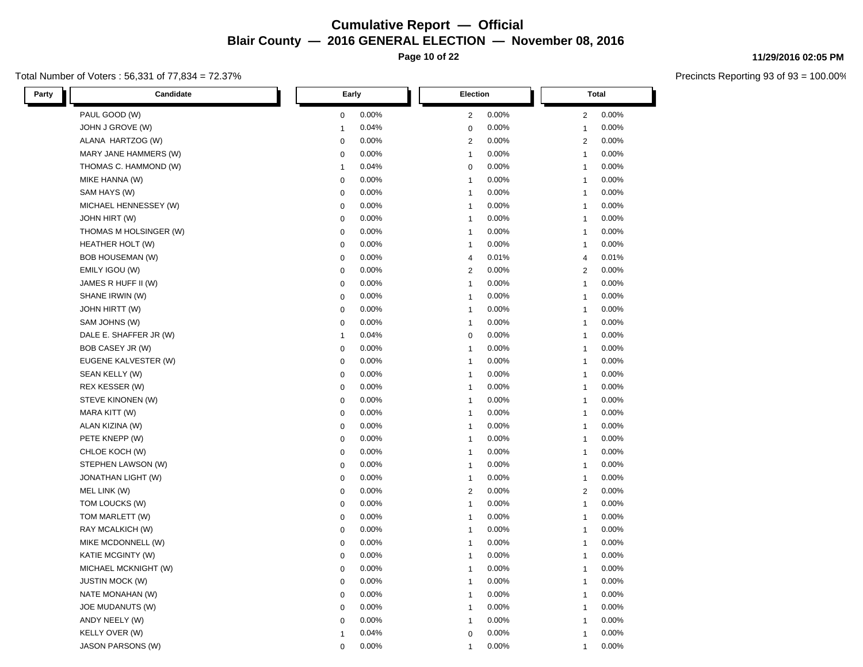**Page 10 of 22**

### Total Number of Voters : 56,331 of 77,834 = 72.37%

**11/29/2016 02:05 PM**

| Party | Candidate                | Early        |       |                | <b>Election</b> |                | <b>Total</b> |
|-------|--------------------------|--------------|-------|----------------|-----------------|----------------|--------------|
|       | PAUL GOOD (W)            | 0            | 0.00% | $\overline{2}$ | 0.00%           | $\overline{c}$ | 0.00%        |
|       | JOHN J GROVE (W)         | $\mathbf{1}$ | 0.04% | 0              | 0.00%           | 1              | 0.00%        |
|       | ALANA HARTZOG (W)        | $\mathbf 0$  | 0.00% | 2              | 0.00%           | 2              | 0.00%        |
|       | MARY JANE HAMMERS (W)    | $\mathbf 0$  | 0.00% | $\overline{1}$ | 0.00%           | 1              | 0.00%        |
|       | THOMAS C. HAMMOND (W)    | $\mathbf{1}$ | 0.04% | $\mathbf 0$    | 0.00%           | $\mathbf{1}$   | 0.00%        |
|       | MIKE HANNA (W)           | $\mathbf 0$  | 0.00% | $\overline{1}$ | 0.00%           | $\mathbf{1}$   | 0.00%        |
|       | SAM HAYS (W)             | $\mathbf 0$  | 0.00% | $\overline{1}$ | 0.00%           | $\mathbf{1}$   | 0.00%        |
|       | MICHAEL HENNESSEY (W)    | $\mathbf 0$  | 0.00% | $\overline{1}$ | 0.00%           | $\mathbf{1}$   | 0.00%        |
|       | <b>JOHN HIRT (W)</b>     | $\mathbf 0$  | 0.00% | $\overline{1}$ | 0.00%           | $\mathbf{1}$   | 0.00%        |
|       | THOMAS M HOLSINGER (W)   | $\mathbf 0$  | 0.00% | $\overline{1}$ | 0.00%           | $\mathbf{1}$   | 0.00%        |
|       | HEATHER HOLT (W)         | 0            | 0.00% | $\mathbf 1$    | 0.00%           | 1              | 0.00%        |
|       | <b>BOB HOUSEMAN (W)</b>  | 0            | 0.00% | 4              | 0.01%           | $\overline{4}$ | 0.01%        |
|       | EMILY IGOU (W)           | $\mathbf 0$  | 0.00% | $\mathbf{2}$   | 0.00%           | 2              | 0.00%        |
|       | JAMES R HUFF II (W)      | 0            | 0.00% | $\overline{1}$ | 0.00%           | $\mathbf{1}$   | 0.00%        |
|       | SHANE IRWIN (W)          | $\mathbf 0$  | 0.00% | $\overline{1}$ | 0.00%           | 1              | 0.00%        |
|       | <b>JOHN HIRTT (W)</b>    | $\mathbf 0$  | 0.00% | $\overline{1}$ | 0.00%           | -1             | 0.00%        |
|       | SAM JOHNS (W)            | 0            | 0.00% | $\overline{1}$ | 0.00%           | $\mathbf{1}$   | 0.00%        |
|       | DALE E. SHAFFER JR (W)   | $\mathbf{1}$ | 0.04% | 0              | 0.00%           | $\mathbf{1}$   | 0.00%        |
|       | BOB CASEY JR (W)         | $\mathbf 0$  | 0.00% | $\overline{1}$ | 0.00%           | $\mathbf{1}$   | 0.00%        |
|       | EUGENE KALVESTER (W)     | $\mathbf 0$  | 0.00% | $\overline{1}$ | 0.00%           | 1              | 0.00%        |
|       | SEAN KELLY (W)           | $\mathbf 0$  | 0.00% | $\overline{1}$ | 0.00%           | $\mathbf{1}$   | 0.00%        |
|       | REX KESSER (W)           | 0            | 0.00% | 1              | 0.00%           | 1              | 0.00%        |
|       | STEVE KINONEN (W)        | $\mathbf 0$  | 0.00% | $\overline{1}$ | 0.00%           | $\mathbf{1}$   | 0.00%        |
|       | MARA KITT (W)            | $\mathbf 0$  | 0.00% | $\overline{1}$ | 0.00%           | $\mathbf{1}$   | 0.00%        |
|       | ALAN KIZINA (W)          | $\mathbf 0$  | 0.00% | $\overline{1}$ | 0.00%           | $\mathbf{1}$   | 0.00%        |
|       | PETE KNEPP (W)           | $\mathbf 0$  | 0.00% | $\overline{1}$ | 0.00%           | 1              | 0.00%        |
|       | CHLOE KOCH (W)           | $\mathbf 0$  | 0.00% | $\overline{1}$ | 0.00%           | $\mathbf{1}$   | 0.00%        |
|       | STEPHEN LAWSON (W)       | 0            | 0.00% | $\mathbf{1}$   | $0.00\%$        | $\mathbf{1}$   | 0.00%        |
|       | JONATHAN LIGHT (W)       | $\mathbf 0$  | 0.00% | $\mathbf{1}$   | 0.00%           | $\mathbf{1}$   | 0.00%        |
|       | MEL LINK (W)             | $\mathbf 0$  | 0.00% | $\mathbf{2}$   | 0.00%           | 2              | 0.00%        |
|       | TOM LOUCKS (W)           | $\mathbf 0$  | 0.00% | $\overline{1}$ | 0.00%           | 1              | 0.00%        |
|       | TOM MARLETT (W)          | $\mathbf 0$  | 0.00% | $\overline{1}$ | 0.00%           | 1              | 0.00%        |
|       | RAY MCALKICH (W)         | $\pmb{0}$    | 0.00% | $\overline{1}$ | 0.00%           | 1              | 0.00%        |
|       | MIKE MCDONNELL (W)       | $\mathbf 0$  | 0.00% | $\overline{1}$ | 0.00%           | $\mathbf{1}$   | 0.00%        |
|       | KATIE MCGINTY (W)        | $\mathbf 0$  | 0.00% | $\mathbf{1}$   | 0.00%           | $\mathbf{1}$   | 0.00%        |
|       | MICHAEL MCKNIGHT (W)     | $\mathbf 0$  | 0.00% | $\mathbf{1}$   | 0.00%           | $\mathbf{1}$   | 0.00%        |
|       | <b>JUSTIN MOCK (W)</b>   | $\mathbf 0$  | 0.00% | $\overline{1}$ | 0.00%           | $\mathbf{1}$   | 0.00%        |
|       | NATE MONAHAN (W)         | $\mathbf 0$  | 0.00% | $\overline{1}$ | 0.00%           | 1              | 0.00%        |
|       | JOE MUDANUTS (W)         | 0            | 0.00% | $\mathbf{1}$   | 0.00%           | $\mathbf{1}$   | 0.00%        |
|       | ANDY NEELY (W)           | 0            | 0.00% | $\overline{1}$ | 0.00%           | 1              | 0.00%        |
|       | KELLY OVER (W)           | 1            | 0.04% | 0              | 0.00%           | 1              | 0.00%        |
|       | <b>JASON PARSONS (W)</b> | $\mathbf 0$  | 0.00% | 1              | 0.00%           | 1              | 0.00%        |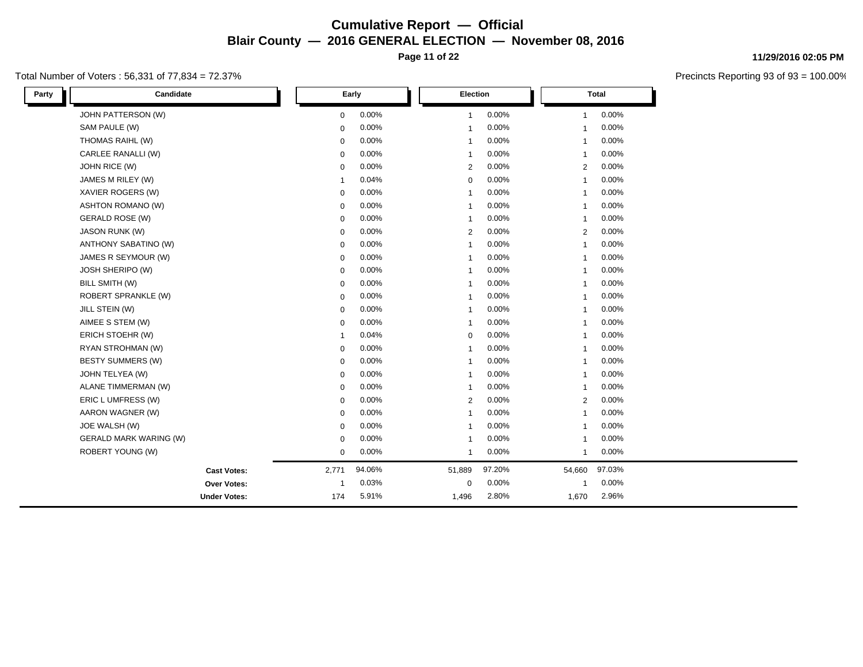**Page 11 of 22**

### Total Number of Voters : 56,331 of 77,834 = 72.37%

| 11/29/2016 02:05 PM |
|---------------------|
|                     |

| Party | Candidate                     |                | Early  | Election       |          |                | <b>Total</b> |
|-------|-------------------------------|----------------|--------|----------------|----------|----------------|--------------|
|       | JOHN PATTERSON (W)            | $\mathbf 0$    | 0.00%  | 1              | 0.00%    | $\mathbf{1}$   | 0.00%        |
|       | SAM PAULE (W)                 | $\mathbf 0$    | 0.00%  | $\overline{1}$ | 0.00%    | $\mathbf{1}$   | 0.00%        |
|       | THOMAS RAIHL (W)              | 0              | 0.00%  | -1             | 0.00%    | -1             | 0.00%        |
|       | CARLEE RANALLI (W)            | $\mathbf 0$    | 0.00%  | $\mathbf{1}$   | 0.00%    | -1             | 0.00%        |
|       | JOHN RICE (W)                 | $\mathbf 0$    | 0.00%  | 2              | 0.00%    | $\overline{2}$ | 0.00%        |
|       | JAMES M RILEY (W)             | $\mathbf{1}$   | 0.04%  | 0              | 0.00%    | -1             | 0.00%        |
|       | XAVIER ROGERS (W)             | 0              | 0.00%  | -1             | 0.00%    | -1             | 0.00%        |
|       | <b>ASHTON ROMANO (W)</b>      | $\mathbf 0$    | 0.00%  | -1             | 0.00%    | $\mathbf{1}$   | 0.00%        |
|       | <b>GERALD ROSE (W)</b>        | $\mathbf 0$    | 0.00%  | $\mathbf{1}$   | 0.00%    | $\mathbf{1}$   | 0.00%        |
|       | <b>JASON RUNK (W)</b>         | $\mathbf 0$    | 0.00%  | 2              | 0.00%    | 2              | 0.00%        |
|       | ANTHONY SABATINO (W)          | $\mathbf 0$    | 0.00%  | -1             | 0.00%    |                | 0.00%        |
|       | JAMES R SEYMOUR (W)           | $\mathbf 0$    | 0.00%  | $\overline{1}$ | 0.00%    |                | 0.00%        |
|       | JOSH SHERIPO (W)              | 0              | 0.00%  | $\mathbf{1}$   | 0.00%    | -1             | 0.00%        |
|       | BILL SMITH (W)                | $\mathbf 0$    | 0.00%  | -1             | 0.00%    | $\mathbf{1}$   | 0.00%        |
|       | <b>ROBERT SPRANKLE (W)</b>    | $\mathbf 0$    | 0.00%  | $\overline{1}$ | 0.00%    | -1             | 0.00%        |
|       | JILL STEIN (W)                | $\mathbf 0$    | 0.00%  | -1             | 0.00%    | $\mathbf{1}$   | 0.00%        |
|       | AIMEE S STEM (W)              | 0              | 0.00%  | $\mathbf{1}$   | 0.00%    | -1             | 0.00%        |
|       | ERICH STOEHR (W)              | $\overline{1}$ | 0.04%  | 0              | $0.00\%$ | -1             | 0.00%        |
|       | RYAN STROHMAN (W)             | $\mathbf 0$    | 0.00%  | $\overline{1}$ | 0.00%    |                | 0.00%        |
|       | BESTY SUMMERS (W)             | 0              | 0.00%  | $\overline{1}$ | 0.00%    | -1             | 0.00%        |
|       | JOHN TELYEA (W)               | 0              | 0.00%  | -1             | 0.00%    | -1             | 0.00%        |
|       | ALANE TIMMERMAN (W)           | $\mathbf 0$    | 0.00%  | $\overline{1}$ | 0.00%    | -1             | 0.00%        |
|       | ERIC L UMFRESS (W)            | 0              | 0.00%  | 2              | 0.00%    | 2              | 0.00%        |
|       | AARON WAGNER (W)              | $\mathbf 0$    | 0.00%  | $\mathbf{1}$   | 0.00%    | -1             | 0.00%        |
|       | JOE WALSH (W)                 | $\mathbf 0$    | 0.00%  | -1             | 0.00%    | -1             | 0.00%        |
|       | <b>GERALD MARK WARING (W)</b> | $\mathbf 0$    | 0.00%  | $\overline{1}$ | 0.00%    | -1             | 0.00%        |
|       | ROBERT YOUNG (W)              | 0              | 0.00%  | $\mathbf{1}$   | 0.00%    | 1              | 0.00%        |
|       | <b>Cast Votes:</b>            | 2,771          | 94.06% | 51,889         | 97.20%   | 54,660         | 97.03%       |
|       | Over Votes:                   | $\mathbf 1$    | 0.03%  | $\mathbf 0$    | $0.00\%$ | $\mathbf{1}$   | 0.00%        |
|       | <b>Under Votes:</b>           | 174            | 5.91%  | 1,496          | 2.80%    | 1,670          | 2.96%        |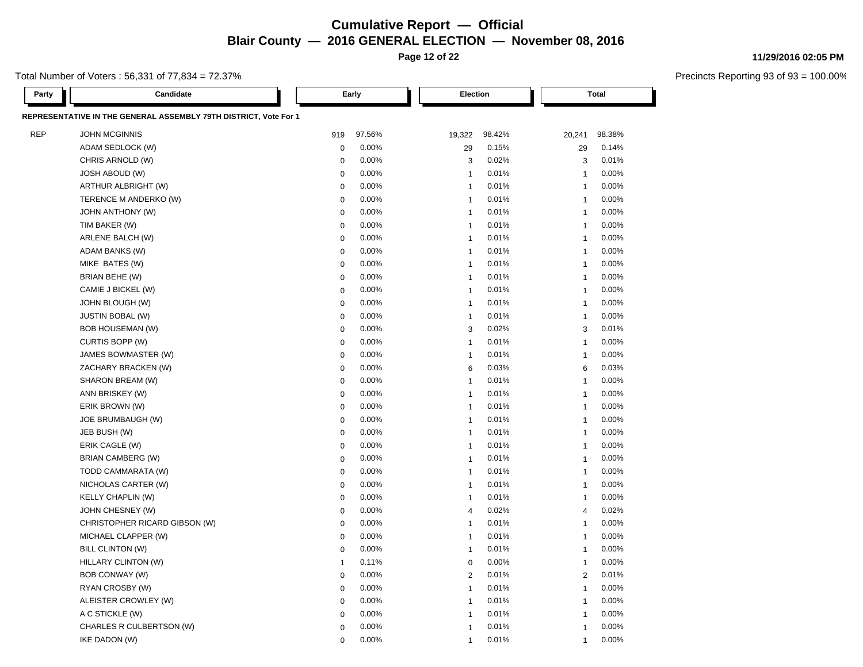**Page 12 of 22**

Total Number of Voters : 56,331 of 77,834 = 72.37%

| Party      | Candidate                                                        |              | Early  |                | Election |                | <b>Total</b> |  |
|------------|------------------------------------------------------------------|--------------|--------|----------------|----------|----------------|--------------|--|
|            | REPRESENTATIVE IN THE GENERAL ASSEMBLY 79TH DISTRICT, Vote For 1 |              |        |                |          |                |              |  |
| <b>REP</b> | <b>JOHN MCGINNIS</b>                                             | 919          | 97.56% | 19,322         | 98.42%   | 20,241         | 98.38%       |  |
|            | ADAM SEDLOCK (W)                                                 | $\mathbf 0$  | 0.00%  | 29             | 0.15%    | 29             | 0.14%        |  |
|            | CHRIS ARNOLD (W)                                                 | $\mathbf 0$  | 0.00%  | 3              | 0.02%    | 3              | 0.01%        |  |
|            | <b>JOSH ABOUD (W)</b>                                            | $\mathbf 0$  | 0.00%  | $\overline{1}$ | 0.01%    | $\overline{1}$ | 0.00%        |  |
|            | ARTHUR ALBRIGHT (W)                                              | $\mathbf 0$  | 0.00%  | $\overline{1}$ | 0.01%    | $\overline{1}$ | 0.00%        |  |
|            | TERENCE M ANDERKO (W)                                            | $\pmb{0}$    | 0.00%  | $\overline{1}$ | 0.01%    | $\overline{1}$ | 0.00%        |  |
|            | <b>JOHN ANTHONY (W)</b>                                          | $\mathbf 0$  | 0.00%  | $\overline{1}$ | 0.01%    | $\overline{1}$ | 0.00%        |  |
|            | TIM BAKER (W)                                                    | $\mathbf 0$  | 0.00%  | $\overline{1}$ | 0.01%    | $\overline{1}$ | 0.00%        |  |
|            | ARLENE BALCH (W)                                                 | $\mathbf 0$  | 0.00%  | $\overline{1}$ | 0.01%    | $\overline{1}$ | 0.00%        |  |
|            | ADAM BANKS (W)                                                   | $\mathbf 0$  | 0.00%  | $\overline{1}$ | 0.01%    | $\overline{1}$ | 0.00%        |  |
|            | MIKE BATES (W)                                                   | $\mathbf 0$  | 0.00%  | $\overline{1}$ | 0.01%    | $\overline{1}$ | 0.00%        |  |
|            | BRIAN BEHE (W)                                                   | $\mathbf 0$  | 0.00%  | $\overline{1}$ | 0.01%    | $\overline{1}$ | 0.00%        |  |
|            | CAMIE J BICKEL (W)                                               | $\mathbf 0$  | 0.00%  | $\overline{1}$ | 0.01%    | $\overline{1}$ | 0.00%        |  |
|            | JOHN BLOUGH (W)                                                  | $\mathbf 0$  | 0.00%  | $\overline{1}$ | 0.01%    | $\overline{1}$ | 0.00%        |  |
|            | <b>JUSTIN BOBAL (W)</b>                                          | $\mathbf 0$  | 0.00%  | $\overline{1}$ | 0.01%    | $\overline{1}$ | 0.00%        |  |
|            | BOB HOUSEMAN (W)                                                 | $\mathbf 0$  | 0.00%  | 3              | 0.02%    | 3              | 0.01%        |  |
|            | CURTIS BOPP (W)                                                  | 0            | 0.00%  | $\overline{1}$ | 0.01%    | $\overline{1}$ | 0.00%        |  |
|            | JAMES BOWMASTER (W)                                              | $\mathbf 0$  | 0.00%  | $\overline{1}$ | 0.01%    | $\mathbf{1}$   | 0.00%        |  |
|            | ZACHARY BRACKEN (W)                                              | $\mathbf 0$  | 0.00%  | 6              | 0.03%    | 6              | 0.03%        |  |
|            | SHARON BREAM (W)                                                 | $\mathbf 0$  | 0.00%  | $\overline{1}$ | 0.01%    | $\overline{1}$ | 0.00%        |  |
|            | ANN BRISKEY (W)                                                  | $\mathbf 0$  | 0.00%  | $\overline{1}$ | 0.01%    | $\overline{1}$ | 0.00%        |  |
|            | ERIK BROWN (W)                                                   | $\Omega$     | 0.00%  | $\overline{1}$ | 0.01%    | 1              | 0.00%        |  |
|            | JOE BRUMBAUGH (W)                                                | $\mathbf 0$  | 0.00%  | $\overline{1}$ | 0.01%    | $\overline{1}$ | 0.00%        |  |
|            | JEB BUSH (W)                                                     | $\mathbf 0$  | 0.00%  | $\overline{1}$ | 0.01%    | $\overline{1}$ | 0.00%        |  |
|            | ERIK CAGLE (W)                                                   | $\mathbf 0$  | 0.00%  | $\overline{1}$ | 0.01%    | $\overline{1}$ | 0.00%        |  |
|            | BRIAN CAMBERG (W)                                                | $\mathbf 0$  | 0.00%  | $\overline{1}$ | 0.01%    | $\overline{1}$ | 0.00%        |  |
|            | TODD CAMMARATA (W)                                               | $\mathbf 0$  | 0.00%  | $\overline{1}$ | 0.01%    | $\overline{1}$ | 0.00%        |  |
|            | NICHOLAS CARTER (W)                                              | $\mathbf 0$  | 0.00%  | $\overline{1}$ | 0.01%    | $\overline{1}$ | 0.00%        |  |
|            | <b>KELLY CHAPLIN (W)</b>                                         | $\mathbf 0$  | 0.00%  | $\overline{1}$ | 0.01%    | $\overline{1}$ | 0.00%        |  |
|            | JOHN CHESNEY (W)                                                 | $\mathbf 0$  | 0.00%  | $\overline{4}$ | 0.02%    | $\overline{4}$ | 0.02%        |  |
|            | CHRISTOPHER RICARD GIBSON (W)                                    | $\mathbf 0$  | 0.00%  | $\overline{1}$ | 0.01%    | $\overline{1}$ | 0.00%        |  |
|            | MICHAEL CLAPPER (W)                                              | $\mathbf 0$  | 0.00%  | $\overline{1}$ | 0.01%    | $\mathbf{1}$   | 0.00%        |  |
|            | <b>BILL CLINTON (W)</b>                                          | $\mathbf 0$  | 0.00%  | $\overline{1}$ | 0.01%    | $\overline{1}$ | 0.00%        |  |
|            | HILLARY CLINTON (W)                                              | $\mathbf{1}$ | 0.11%  | $\mathbf 0$    | 0.00%    | $\mathbf{1}$   | 0.00%        |  |
|            | BOB CONWAY (W)                                                   | $\mathbf 0$  | 0.00%  | $\overline{2}$ | 0.01%    | 2              | 0.01%        |  |
|            | RYAN CROSBY (W)                                                  | $\mathbf 0$  | 0.00%  | $\overline{1}$ | 0.01%    | $\overline{1}$ | 0.00%        |  |
|            | ALEISTER CROWLEY (W)                                             | $\mathbf 0$  | 0.00%  | $\overline{1}$ | 0.01%    | $\overline{1}$ | 0.00%        |  |
|            | A C STICKLE (W)                                                  | $\Omega$     | 0.00%  | $\overline{1}$ | 0.01%    | 1              | 0.00%        |  |
|            | CHARLES R CULBERTSON (W)                                         | $\Omega$     | 0.00%  | $\overline{1}$ | 0.01%    | $\overline{1}$ | 0.00%        |  |
|            | IKE DADON (W)                                                    | $\Omega$     | 0.00%  | $\overline{1}$ | 0.01%    | $\overline{1}$ | 0.00%        |  |

### **11/29/2016 02:05 PM**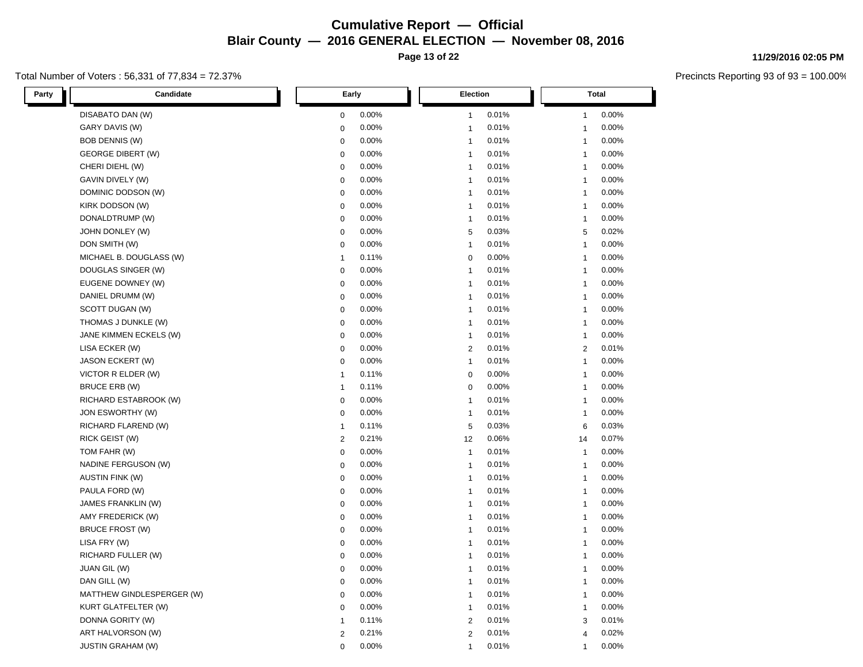**Page 13 of 22**

### Total Number of Voters : 56,331 of 77,834 = 72.37%

**11/29/2016 02:05 PM**

| Party<br>Candidate         | Early                   | Election                | <b>Total</b>            |  |
|----------------------------|-------------------------|-------------------------|-------------------------|--|
| DISABATO DAN (W)           | 0.00%<br>$\mathbf 0$    | 0.01%<br>$\mathbf{1}$   | 0.00%<br>$\mathbf{1}$   |  |
| GARY DAVIS (W)             | 0.00%<br>$\mathbf 0$    | 0.01%<br>$\mathbf{1}$   | 0.00%<br>$\mathbf{1}$   |  |
| <b>BOB DENNIS (W)</b>      | 0.00%<br>$\mathbf 0$    | 0.01%<br>$\mathbf{1}$   | 0.00%<br>$\mathbf{1}$   |  |
| <b>GEORGE DIBERT (W)</b>   | 0.00%<br>$\mathbf 0$    | 0.01%<br>$\overline{1}$ | 0.00%<br>$\mathbf{1}$   |  |
| CHERI DIEHL (W)            | 0.00%<br>$\pmb{0}$      | 0.01%<br>$\mathbf{1}$   | 0.00%<br>$\mathbf{1}$   |  |
| GAVIN DIVELY (W)           | 0.00%<br>$\mathbf 0$    | 0.01%<br>$\mathbf{1}$   | 0.00%<br>$\mathbf{1}$   |  |
| DOMINIC DODSON (W)         | 0.00%<br>$\mathbf 0$    | 0.01%<br>$\mathbf{1}$   | 0.00%<br>$\mathbf{1}$   |  |
| KIRK DODSON (W)            | $\mathbf 0$<br>0.00%    | 0.01%<br>$\mathbf{1}$   | 0.00%<br>$\mathbf{1}$   |  |
| DONALDTRUMP (W)            | $\mathbf 0$<br>0.00%    | 0.01%<br>$\overline{1}$ | 0.00%<br>$\mathbf{1}$   |  |
| JOHN DONLEY (W)            | 0.00%<br>$\pmb{0}$      | 0.03%<br>5              | 0.02%<br>5              |  |
| DON SMITH (W)              | 0.00%<br>$\mathbf 0$    | 0.01%<br>$\overline{1}$ | 0.00%<br>$\mathbf{1}$   |  |
| MICHAEL B. DOUGLASS (W)    | 0.11%<br>$\overline{1}$ | $\mathbf 0$<br>0.00%    | 0.00%<br>$\mathbf{1}$   |  |
| DOUGLAS SINGER (W)         | 0.00%<br>$\mathbf 0$    | 0.01%<br>$\mathbf{1}$   | 0.00%<br>$\mathbf{1}$   |  |
| EUGENE DOWNEY (W)          | 0.00%<br>$\mathbf 0$    | 0.01%<br>$\mathbf{1}$   | 0.00%<br>$\mathbf{1}$   |  |
| DANIEL DRUMM (W)           | $\mathbf 0$<br>0.00%    | 0.01%<br>$\overline{1}$ | 0.00%<br>-1             |  |
| SCOTT DUGAN (W)            | 0.00%<br>$\mathbf 0$    | 0.01%<br>$\mathbf{1}$   | 0.00%<br>$\overline{1}$ |  |
| THOMAS J DUNKLE (W)        | 0.00%<br>$\mathbf 0$    | 0.01%<br>$\mathbf{1}$   | 0.00%<br>$\mathbf{1}$   |  |
| JANE KIMMEN ECKELS (W)     | 0.00%<br>$\mathbf 0$    | 0.01%<br>$\mathbf{1}$   | 0.00%<br>$\overline{1}$ |  |
| LISA ECKER (W)             | 0.00%<br>$\pmb{0}$      | 0.01%<br>$\overline{2}$ | 0.01%<br>2              |  |
| JASON ECKERT (W)           | 0.00%<br>$\mathbf 0$    | 0.01%<br>$\overline{1}$ | 0.00%<br>$\mathbf{1}$   |  |
| VICTOR R ELDER (W)         | 0.11%<br>$\mathbf{1}$   | 0.00%<br>$\mathbf 0$    | 0.00%<br>$\mathbf{1}$   |  |
| BRUCE ERB (W)              | 0.11%<br>$\overline{1}$ | 0.00%<br>$\mathbf 0$    | 0.00%<br>1              |  |
| RICHARD ESTABROOK (W)      | $\mathbf 0$<br>0.00%    | 0.01%<br>$\mathbf{1}$   | 0.00%<br>$\mathbf{1}$   |  |
| JON ESWORTHY (W)           | $\mathbf 0$<br>0.00%    | 0.01%<br>$\mathbf{1}$   | 0.00%<br>$\mathbf{1}$   |  |
| RICHARD FLAREND (W)        | 0.11%<br>$\mathbf{1}$   | $\sqrt{5}$<br>0.03%     | 0.03%<br>6              |  |
| RICK GEIST (W)             | 0.21%<br>$\overline{2}$ | 0.06%<br>12             | 0.07%<br>14             |  |
| TOM FAHR (W)               | 0.00%<br>$\mathbf 0$    | 0.01%<br>$\mathbf{1}$   | 0.00%<br>$\mathbf{1}$   |  |
| NADINE FERGUSON (W)        | 0.00%<br>$\pmb{0}$      | 0.01%<br>$\mathbf{1}$   | 0.00%<br>$\mathbf{1}$   |  |
| <b>AUSTIN FINK (W)</b>     | 0.00%<br>$\mathbf 0$    | 0.01%<br>$\overline{1}$ | 0.00%<br>$\mathbf{1}$   |  |
| PAULA FORD (W)             | 0.00%<br>$\mathbf 0$    | 0.01%<br>$\overline{1}$ | 0.00%<br>$\overline{1}$ |  |
| JAMES FRANKLIN (W)         | 0.00%<br>$\mathbf 0$    | 0.01%<br>$\mathbf{1}$   | 0.00%<br>$\mathbf{1}$   |  |
| AMY FREDERICK (W)          | 0.00%<br>$\mathbf 0$    | 0.01%<br>$\mathbf{1}$   | 0.00%<br>$\mathbf{1}$   |  |
| <b>BRUCE FROST (W)</b>     | 0.00%<br>$\mathbf 0$    | 0.01%<br>$\mathbf{1}$   | 0.00%<br>$\mathbf{1}$   |  |
| LISA FRY (W)               | 0.00%<br>$\mathbf 0$    | 0.01%<br>$\mathbf{1}$   | 0.00%<br>$\mathbf{1}$   |  |
| RICHARD FULLER (W)         | 0.00%<br>$\pmb{0}$      | 0.01%<br>$\mathbf{1}$   | 0.00%<br>$\mathbf{1}$   |  |
| JUAN GIL (W)               | 0.00%<br>$\mathbf 0$    | 0.01%<br>$\mathbf{1}$   | 0.00%<br>$\overline{1}$ |  |
| DAN GILL (W)               | 0.00%<br>$\mathbf 0$    | 0.01%<br>$\mathbf{1}$   | 0.00%<br>$\mathbf{1}$   |  |
| MATTHEW GINDLESPERGER (W)  | 0.00%<br>$\mathbf 0$    | 0.01%<br>$\mathbf{1}$   | 0.00%<br>$\mathbf{1}$   |  |
| <b>KURT GLATFELTER (W)</b> | 0.00%<br>$\mathbf 0$    | 0.01%<br>$\mathbf{1}$   | 0.00%<br>$\mathbf{1}$   |  |
| DONNA GORITY (W)           | 0.11%<br>$\overline{1}$ | $\overline{2}$<br>0.01% | 0.01%<br>3              |  |
| ART HALVORSON (W)          | 0.21%<br>$\overline{2}$ | $\overline{2}$<br>0.01% | 0.02%<br>$\overline{4}$ |  |
| <b>JUSTIN GRAHAM (W)</b>   | $\mathbf 0$<br>0.00%    | 0.01%<br>$\overline{1}$ | 0.00%<br>$\mathbf{1}$   |  |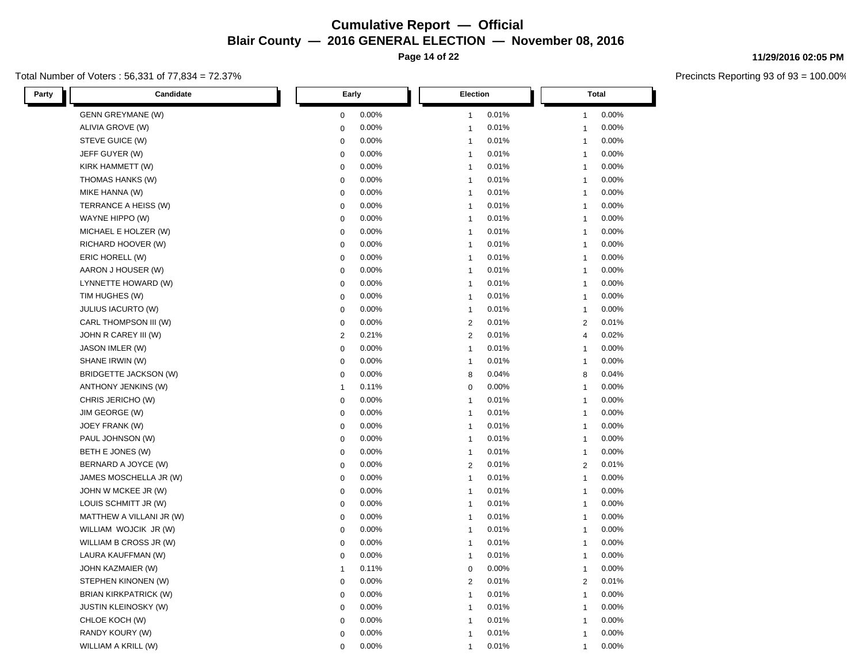**Page 14 of 22**

### Total Number of Voters : 56,331 of 77,834 = 72.37%

**11/29/2016 02:05 PM**

| Party | Candidate                    | Early                   | <b>Election</b>         | Total                   |  |
|-------|------------------------------|-------------------------|-------------------------|-------------------------|--|
|       | <b>GENN GREYMANE (W)</b>     | 0.00%<br>0              | 0.01%<br>$\mathbf{1}$   | 0.00%<br>1              |  |
|       | ALIVIA GROVE (W)             | 0.00%<br>0              | 0.01%<br>$\mathbf{1}$   | 0.00%<br>$\mathbf 1$    |  |
|       | STEVE GUICE (W)              | 0.00%<br>$\pmb{0}$      | 0.01%<br>$\mathbf{1}$   | 0.00%<br>$\mathbf{1}$   |  |
|       | JEFF GUYER (W)               | 0.00%<br>$\mathbf 0$    | 0.01%<br>$\mathbf{1}$   | 0.00%<br>1              |  |
|       | KIRK HAMMETT (W)             | 0.00%<br>$\mathbf 0$    | 0.01%<br>$\mathbf{1}$   | 0.00%<br>$\mathbf{1}$   |  |
|       | THOMAS HANKS (W)             | 0.00%<br>$\mathbf 0$    | 0.01%<br>$\mathbf{1}$   | 0.00%<br>$\mathbf{1}$   |  |
|       | MIKE HANNA (W)               | 0.00%<br>$\mathbf 0$    | 0.01%<br>$\mathbf{1}$   | 0.00%<br>1              |  |
|       | TERRANCE A HEISS (W)         | 0.00%<br>$\mathbf 0$    | 0.01%<br>$\mathbf{1}$   | 0.00%<br>$\mathbf{1}$   |  |
|       | WAYNE HIPPO (W)              | $\pmb{0}$<br>0.00%      | 0.01%<br>$\mathbf{1}$   | 0.00%<br>1              |  |
|       | MICHAEL E HOLZER (W)         | 0.00%<br>0              | 0.01%<br>$\mathbf{1}$   | 0.00%<br>1              |  |
|       | RICHARD HOOVER (W)           | 0.00%<br>$\mathbf 0$    | 0.01%<br>$\mathbf{1}$   | 0.00%<br>1              |  |
|       | ERIC HORELL (W)              | $\pmb{0}$<br>0.00%      | 0.01%<br>$\mathbf{1}$   | 0.00%<br>$\mathbf{1}$   |  |
|       | AARON J HOUSER (W)           | 0.00%<br>$\mathbf 0$    | 0.01%<br>$\mathbf{1}$   | 0.00%<br>$\mathbf{1}$   |  |
|       | LYNNETTE HOWARD (W)          | 0.00%<br>$\pmb{0}$      | 0.01%<br>$\mathbf{1}$   | 0.00%<br>$\mathbf{1}$   |  |
|       | TIM HUGHES (W)               | 0.00%<br>$\pmb{0}$      | 0.01%<br>$\mathbf{1}$   | 0.00%<br>1              |  |
|       | <b>JULIUS IACURTO (W)</b>    | $\pmb{0}$<br>0.00%      | 0.01%<br>$\mathbf{1}$   | 0.00%<br>$\mathbf{1}$   |  |
|       | CARL THOMPSON III (W)        | 0.00%<br>0              | $\overline{c}$<br>0.01% | 0.01%<br>2              |  |
|       | JOHN R CAREY III (W)         | 0.21%<br>$\overline{2}$ | $\sqrt{2}$<br>0.01%     | 0.02%<br>$\overline{4}$ |  |
|       | JASON IMLER (W)              | 0.00%<br>$\mathbf 0$    | 0.01%<br>$\mathbf{1}$   | 0.00%<br>$\mathbf{1}$   |  |
|       | SHANE IRWIN (W)              | 0.00%<br>$\pmb{0}$      | 0.01%<br>$\mathbf{1}$   | 0.00%<br>$\mathbf{1}$   |  |
|       | BRIDGETTE JACKSON (W)        | 0.00%<br>$\pmb{0}$      | 0.04%<br>8              | 0.04%<br>8              |  |
|       | ANTHONY JENKINS (W)          | 0.11%<br>$\mathbf{1}$   | 0.00%<br>$\mathbf 0$    | 0.00%<br>1              |  |
|       | CHRIS JERICHO (W)            | 0.00%<br>$\pmb{0}$      | $\mathbf{1}$<br>0.01%   | 0.00%<br>$\mathbf{1}$   |  |
|       | JIM GEORGE (W)               | 0.00%<br>$\pmb{0}$      | 0.01%<br>$\mathbf{1}$   | 0.00%<br>1              |  |
|       | JOEY FRANK (W)               | 0.00%<br>$\mathbf 0$    | 0.01%<br>$\mathbf{1}$   | 0.00%<br>$\mathbf{1}$   |  |
|       | PAUL JOHNSON (W)             | 0.00%<br>$\mathbf 0$    | 0.01%<br>$\mathbf{1}$   | 0.00%<br>1              |  |
|       | BETH E JONES (W)             | 0.00%<br>$\mathbf 0$    | $\mathbf{1}$<br>0.01%   | 0.00%<br>1              |  |
|       | BERNARD A JOYCE (W)          | 0.00%<br>$\pmb{0}$      | $\overline{2}$<br>0.01% | 0.01%<br>2              |  |
|       | JAMES MOSCHELLA JR (W)       | 0.00%<br>$\mathbf 0$    | 0.01%<br>$\mathbf{1}$   | 0.00%<br>$\mathbf{1}$   |  |
|       | JOHN W MCKEE JR (W)          | 0.00%<br>$\mathbf 0$    | 0.01%<br>$\mathbf{1}$   | 0.00%<br>$\mathbf{1}$   |  |
|       | LOUIS SCHMITT JR (W)         | 0.00%<br>$\pmb{0}$      | $\mathbf{1}$<br>0.01%   | 0.00%<br>1              |  |
|       | MATTHEW A VILLANI JR (W)     | 0.00%<br>$\pmb{0}$      | 0.01%<br>$\mathbf{1}$   | 0.00%<br>$\mathbf{1}$   |  |
|       | WILLIAM WOJCIK JR (W)        | 0.00%<br>$\mathbf 0$    | 0.01%<br>$\mathbf{1}$   | 0.00%<br>1              |  |
|       | WILLIAM B CROSS JR (W)       | 0.00%<br>$\pmb{0}$      | 0.01%<br>$\mathbf{1}$   | 0.00%<br>$\mathbf{1}$   |  |
|       | LAURA KAUFFMAN (W)           | 0.00%<br>$\mathbf 0$    | 0.01%<br>$\mathbf{1}$   | 0.00%<br>$\mathbf{1}$   |  |
|       | JOHN KAZMAIER (W)            | 0.11%<br>1              | $\pmb{0}$<br>0.00%      | 0.00%<br>1              |  |
|       | STEPHEN KINONEN (W)          | 0.00%<br>$\pmb{0}$      | 0.01%<br>$\sqrt{2}$     | 0.01%<br>$\overline{2}$ |  |
|       | <b>BRIAN KIRKPATRICK (W)</b> | $\pmb{0}$<br>0.00%      | 0.01%<br>$\mathbf{1}$   | 0.00%<br>1              |  |
|       | <b>JUSTIN KLEINOSKY (W)</b>  | 0.00%<br>0              | 0.01%<br>1              | 0.00%<br>1              |  |
|       | CHLOE KOCH (W)               | 0.00%<br>$\mathbf 0$    | 0.01%<br>$\mathbf{1}$   | 0.00%<br>$\mathbf 1$    |  |
|       | RANDY KOURY (W)              | 0.00%<br>$\mathbf 0$    | 0.01%<br>$\mathbf{1}$   | 0.00%<br>1              |  |
|       | WILLIAM A KRILL (W)          | $\mathbf 0$<br>0.00%    | 0.01%<br>1              | 0.00%<br>1              |  |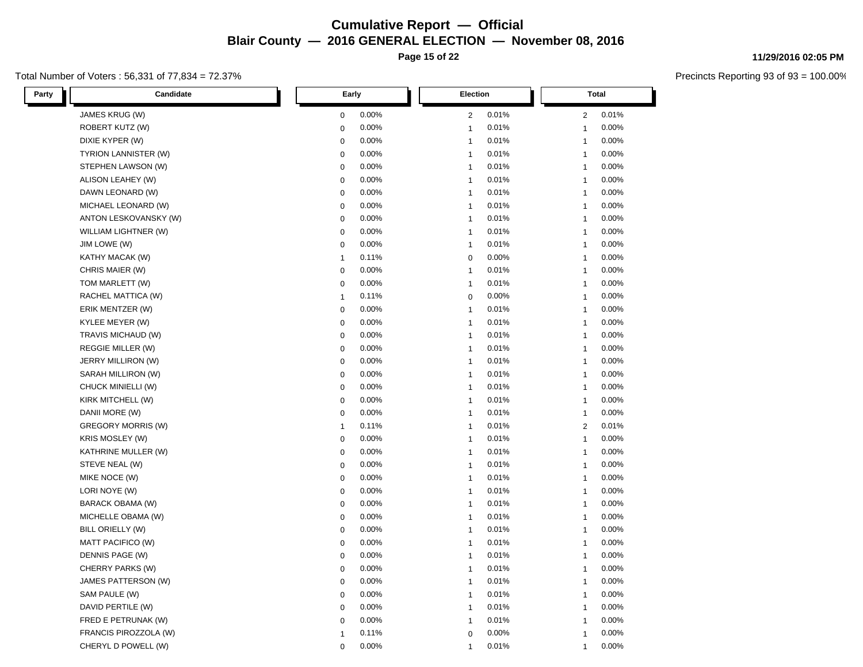**Page 15 of 22**

### Total Number of Voters : 56,331 of 77,834 = 72.37%

**11/29/2016 02:05 PM**

| Candidate<br>Party        | Early          | Election       | <b>Total</b>   |  |
|---------------------------|----------------|----------------|----------------|--|
| JAMES KRUG (W)            | 0.00%          | 0.01%          | 0.01%          |  |
|                           | $\mathbf 0$    | 2              | $\overline{2}$ |  |
| ROBERT KUTZ (W)           | 0.00%          | 0.01%          | 0.00%          |  |
|                           | $\mathbf 0$    | $\mathbf{1}$   | $\mathbf{1}$   |  |
| DIXIE KYPER (W)           | 0.00%          | 0.01%          | 0.00%          |  |
|                           | $\pmb{0}$      | $\mathbf{1}$   | $\mathbf{1}$   |  |
| TYRION LANNISTER (W)      | 0.00%          | 0.01%          | 0.00%          |  |
|                           | $\mathbf 0$    | $\mathbf{1}$   | $\overline{1}$ |  |
| STEPHEN LAWSON (W)        | 0.00%          | 0.01%          | 0.00%          |  |
|                           | $\mathbf 0$    | $\mathbf{1}$   | $\overline{1}$ |  |
| ALISON LEAHEY (W)         | 0.00%          | 0.01%          | 0.00%          |  |
|                           | $\mathbf 0$    | $\mathbf{1}$   | $\mathbf{1}$   |  |
| DAWN LEONARD (W)          | 0.00%          | 0.01%          | 0.00%          |  |
|                           | $\mathbf 0$    | $\mathbf{1}$   | $\mathbf{1}$   |  |
| MICHAEL LEONARD (W)       | 0.00%          | 0.01%          | 0.00%          |  |
|                           | $\mathbf 0$    | $\mathbf{1}$   | 1              |  |
| ANTON LESKOVANSKY (W)     | 0.00%          | 0.01%          | 0.00%          |  |
|                           | $\pmb{0}$      | $\mathbf{1}$   | $\mathbf{1}$   |  |
| WILLIAM LIGHTNER (W)      | 0.00%          | 0.01%          | 0.00%          |  |
|                           | $\mathbf 0$    | $\mathbf{1}$   | $\mathbf{1}$   |  |
| JIM LOWE (W)              | 0.00%          | 0.01%          | 0.00%          |  |
|                           | $\mathbf 0$    | $\mathbf{1}$   | $\mathbf{1}$   |  |
| KATHY MACAK (W)           | 0.11%          | 0.00%          | 0.00%          |  |
|                           | $\mathbf{1}$   | $\mathbf 0$    | $\mathbf{1}$   |  |
| CHRIS MAIER (W)           | 0.00%          | 0.01%          | 0.00%          |  |
|                           | $\pmb{0}$      | $\mathbf{1}$   | -1             |  |
| TOM MARLETT (W)           | 0.00%          | 0.01%          | 0.00%          |  |
|                           | 0              | $\overline{1}$ | $\overline{1}$ |  |
| RACHEL MATTICA (W)        | 0.11%          | 0.00%          | 0.00%          |  |
|                           | $\mathbf{1}$   | $\mathbf 0$    | $\mathbf{1}$   |  |
| ERIK MENTZER (W)          | $\mathbf 0$    | 0.01%          | 0.00%          |  |
|                           | 0.00%          | $\mathbf{1}$   | $\mathbf{1}$   |  |
| KYLEE MEYER (W)           | $\mathbf 0$    | 0.01%          | 0.00%          |  |
|                           | 0.00%          | $\mathbf{1}$   | $\mathbf{1}$   |  |
| TRAVIS MICHAUD (W)        | 0.00%          | 0.01%          | 0.00%          |  |
|                           | $\pmb{0}$      | $\mathbf{1}$   | -1             |  |
| REGGIE MILLER (W)         | $\pmb{0}$      | 0.01%          | 0.00%          |  |
|                           | 0.00%          | $\mathbf{1}$   | 1              |  |
| JERRY MILLIRON (W)        | 0.00%          | 0.01%          | 0.00%          |  |
|                           | $\mathbf 0$    | $\mathbf{1}$   | $\mathbf{1}$   |  |
| SARAH MILLIRON (W)        | 0.00%          | $\mathbf{1}$   | 0.00%          |  |
|                           | $\mathbf 0$    | 0.01%          | $\mathbf{1}$   |  |
| CHUCK MINIELLI (W)        | 0.00%          | 0.01%          | 0.00%          |  |
|                           | $\mathbf 0$    | $\mathbf{1}$   | $\overline{1}$ |  |
| KIRK MITCHELL (W)         | 0.00%          | 0.01%          | 0.00%          |  |
|                           | $\mathbf 0$    | $\mathbf{1}$   | $\mathbf{1}$   |  |
| DANII MORE (W)            | 0.00%          | 0.01%          | 0.00%          |  |
|                           | $\mathbf 0$    | $\mathbf{1}$   | $\mathbf{1}$   |  |
| <b>GREGORY MORRIS (W)</b> | 0.11%          | 0.01%          | 0.01%          |  |
|                           | $\mathbf{1}$   | $\mathbf{1}$   | 2              |  |
| <b>KRIS MOSLEY (W)</b>    | 0.00%          | 0.01%          | 0.00%          |  |
|                           | $\mathbf 0$    | $\mathbf{1}$   | $\mathbf{1}$   |  |
| KATHRINE MULLER (W)       | $\mathbf 0$    | 0.01%          | 0.00%          |  |
|                           | 0.00%          | $\mathbf{1}$   | $\mathbf{1}$   |  |
| STEVE NEAL (W)            | $\mathbf 0$    | 0.01%          | 0.00%          |  |
|                           | 0.00%          | $\mathbf{1}$   | $\mathbf{1}$   |  |
| MIKE NOCE (W)             | 0.00%          | 0.01%          | 0.00%          |  |
|                           | $\pmb{0}$      | $\mathbf{1}$   | -1             |  |
| LORI NOYE (W)             | 0.00%          | 0.01%          | 0.00%          |  |
|                           | $\pmb{0}$      | $\mathbf{1}$   | $\mathbf{1}$   |  |
| BARACK OBAMA (W)          | 0.00%          | 0.01%          | 0.00%          |  |
|                           | $\mathbf 0$    | $\mathbf{1}$   | $\mathbf{1}$   |  |
| MICHELLE OBAMA (W)        | 0.00%          | 0.01%          | 0.00%          |  |
|                           | $\mathbf 0$    | $\mathbf{1}$   | $\mathbf{1}$   |  |
| BILL ORIELLY (W)          | 0.00%          | 0.01%          | 0.00%          |  |
|                           | $\pmb{0}$      | $\mathbf{1}$   | $\mathbf{1}$   |  |
| MATT PACIFICO (W)         | 0.00%          | 0.01%          | 0.00%          |  |
|                           | $\mathbf 0$    | $\mathbf{1}$   | $\overline{1}$ |  |
| DENNIS PAGE (W)           | 0.00%          | $\mathbf{1}$   | 0.00%          |  |
|                           | $\mathbf 0$    | 0.01%          | $\mathbf{1}$   |  |
| CHERRY PARKS (W)          | 0.00%          | 0.01%          | 0.00%          |  |
|                           | $\mathbf 0$    | $\mathbf{1}$   | $\mathbf{1}$   |  |
| JAMES PATTERSON (W)       | 0.00%          | 0.01%          | 0.00%          |  |
|                           | $\mathbf 0$    | $\mathbf{1}$   | $\mathbf{1}$   |  |
| SAM PAULE (W)             | $\mathbf 0$    | 0.01%          | 0.00%          |  |
|                           | 0.00%          | $\overline{1}$ | $\mathbf{1}$   |  |
| DAVID PERTILE (W)         | 0.00%          | 0.01%          | 0.00%          |  |
|                           | 0              | $\mathbf{1}$   | $\mathbf{1}$   |  |
| FRED E PETRUNAK (W)       | 0.00%          | 0.01%          | 0.00%          |  |
|                           | $\mathbf 0$    | $\mathbf{1}$   | 1              |  |
| FRANCIS PIROZZOLA (W)     | 0.11%          | 0.00%          | 0.00%          |  |
|                           | $\overline{1}$ | $\Omega$       | $\mathbf{1}$   |  |
| CHERYL D POWELL (W)       | 0.00%          | 0.01%          | 0.00%          |  |
|                           | $\mathbf 0$    | 1              | 1              |  |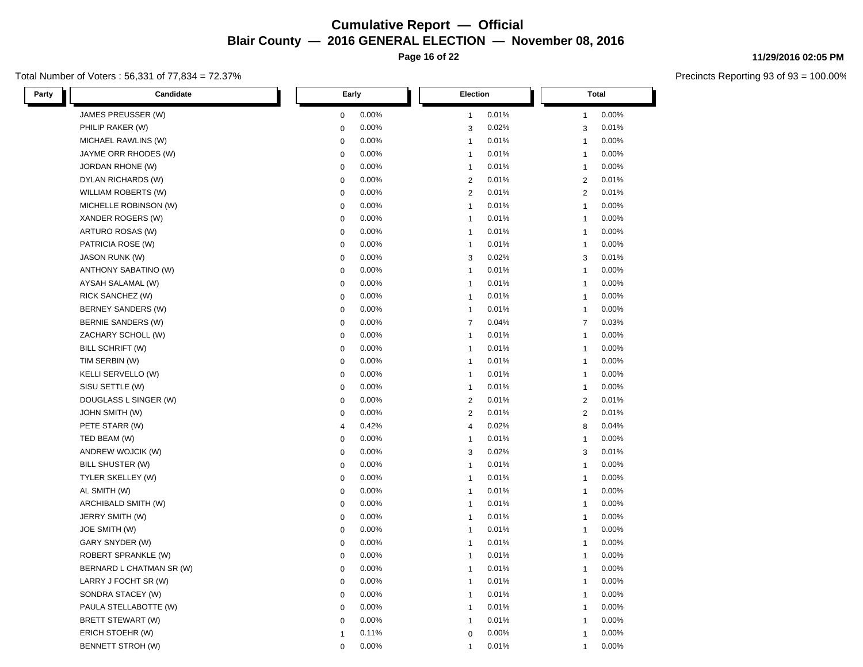**Page 16 of 22**

### Total Number of Voters : 56,331 of 77,834 = 72.37%

L

**11/29/2016 02:05 PM**

| Party | Candidate                  | Early        |       |                         | <b>Election</b>         |  | <b>Total</b>            |       |
|-------|----------------------------|--------------|-------|-------------------------|-------------------------|--|-------------------------|-------|
|       | JAMES PREUSSER (W)         | $\mathbf 0$  | 0.00% | $\mathbf{1}$            | 0.01%                   |  | 1                       | 0.00% |
|       | PHILIP RAKER (W)           | $\mathbf 0$  | 0.00% |                         | 3<br>0.02%              |  | 3                       | 0.01% |
|       | MICHAEL RAWLINS (W)        | 0            | 0.00% | $\overline{1}$          | 0.01%                   |  | $\mathbf{1}$            | 0.00% |
|       | JAYME ORR RHODES (W)       | $\mathbf 0$  | 0.00% | $\overline{1}$          | 0.01%                   |  | 1                       | 0.00% |
|       | JORDAN RHONE (W)           | $\mathbf 0$  | 0.00% | $\overline{1}$          | 0.01%                   |  | $\mathbf{1}$            | 0.00% |
|       | DYLAN RICHARDS (W)         | $\mathbf 0$  | 0.00% |                         | $\mathbf{2}$<br>0.01%   |  | $\overline{2}$          | 0.01% |
|       | WILLIAM ROBERTS (W)        | 0            | 0.00% |                         | $\overline{2}$<br>0.01% |  | $\overline{2}$          | 0.01% |
|       | MICHELLE ROBINSON (W)      | $\mathbf 0$  | 0.00% | $\mathbf{1}$            | 0.01%                   |  | $\mathbf{1}$            | 0.00% |
|       | XANDER ROGERS (W)          | $\mathbf 0$  | 0.00% | $\overline{1}$          | 0.01%                   |  | $\mathbf{1}$            | 0.00% |
|       | ARTURO ROSAS (W)           | $\mathbf 0$  | 0.00% | $\overline{1}$          | 0.01%                   |  | $\mathbf{1}$            | 0.00% |
|       | PATRICIA ROSE (W)          | 0            | 0.00% | $\overline{1}$          | 0.01%                   |  | $\mathbf{1}$            | 0.00% |
|       | <b>JASON RUNK (W)</b>      | 0            | 0.00% |                         | 0.02%<br>3              |  | 3                       | 0.01% |
|       | ANTHONY SABATINO (W)       | $\mathbf 0$  | 0.00% | $\overline{1}$          | 0.01%                   |  | 1                       | 0.00% |
|       | AYSAH SALAMAL (W)          | $\mathbf 0$  | 0.00% | $\overline{1}$          | 0.01%                   |  | $\mathbf{1}$            | 0.00% |
|       | RICK SANCHEZ (W)           | $\mathbf 0$  | 0.00% | $\overline{1}$          | 0.01%                   |  | 1                       | 0.00% |
|       | BERNEY SANDERS (W)         | $\mathbf 0$  | 0.00% | $\mathbf{1}$            | 0.01%                   |  | $\mathbf{1}$            | 0.00% |
|       | BERNIE SANDERS (W)         | $\mathbf 0$  | 0.00% | $\overline{7}$          | 0.04%                   |  | $\overline{7}$          | 0.03% |
|       | ZACHARY SCHOLL (W)         | $\mathbf 0$  | 0.00% | $\overline{1}$          | 0.01%                   |  | $\mathbf{1}$            | 0.00% |
|       | BILL SCHRIFT (W)           | $\mathbf 0$  | 0.00% | $\overline{1}$          | 0.01%                   |  | $\overline{1}$          | 0.00% |
|       | TIM SERBIN (W)             | $\pmb{0}$    | 0.00% | $\overline{1}$          | 0.01%                   |  | 1                       | 0.00% |
|       | KELLI SERVELLO (W)         | 0            | 0.00% | $\mathbf{1}$            | 0.01%                   |  | $\mathbf{1}$            | 0.00% |
|       | SISU SETTLE (W)            | $\mathbf 0$  | 0.00% | $\mathbf{1}$            | 0.01%                   |  | 1                       | 0.00% |
|       | DOUGLASS L SINGER (W)      | $\mathbf 0$  | 0.00% |                         | $\mathbf{2}$<br>0.01%   |  | $\overline{2}$          | 0.01% |
|       | <b>JOHN SMITH (W)</b>      | $\pmb{0}$    | 0.00% |                         | $\overline{c}$<br>0.01% |  | $\overline{\mathbf{c}}$ | 0.01% |
|       | PETE STARR (W)             | 4            | 0.42% |                         | 4<br>0.02%              |  | 8                       | 0.04% |
|       | TED BEAM (W)               | $\mathbf 0$  | 0.00% | $\overline{1}$          | 0.01%                   |  | $\mathbf{1}$            | 0.00% |
|       | ANDREW WOJCIK (W)          | $\mathbf 0$  | 0.00% |                         | 3<br>0.02%              |  | 3                       | 0.01% |
|       | BILL SHUSTER (W)           | 0            | 0.00% | $\mathbf{1}$            | 0.01%                   |  | $\mathbf{1}$            | 0.00% |
|       | TYLER SKELLEY (W)          | $\mathbf 0$  | 0.00% | $\overline{1}$          | 0.01%                   |  | 1                       | 0.00% |
|       | AL SMITH (W)               | $\mathbf 0$  | 0.00% | $\overline{1}$          | 0.01%                   |  | $\mathbf{1}$            | 0.00% |
|       | ARCHIBALD SMITH (W)        | $\mathbf 0$  | 0.00% | $\overline{1}$          | 0.01%                   |  | $\mathbf{1}$            | 0.00% |
|       | JERRY SMITH (W)            | $\mathbf 0$  | 0.00% | $\overline{1}$          | 0.01%                   |  | -1                      | 0.00% |
|       | JOE SMITH (W)              | $\mathbf 0$  | 0.00% | $\overline{1}$          | 0.01%                   |  | $\mathbf{1}$            | 0.00% |
|       | GARY SNYDER (W)            | $\mathbf 0$  | 0.00% | $\overline{1}$          | 0.01%                   |  | $\mathbf{1}$            | 0.00% |
|       | <b>ROBERT SPRANKLE (W)</b> | $\mathbf 0$  | 0.00% | $\mathbf{1}$            | 0.01%                   |  | $\mathbf{1}$            | 0.00% |
|       | BERNARD L CHATMAN SR (W)   | $\mathbf 0$  | 0.00% | $\overline{1}$          | 0.01%                   |  | 1                       | 0.00% |
|       | LARRY J FOCHT SR (W)       | 0            | 0.00% | $\overline{\mathbf{1}}$ | 0.01%                   |  | $\mathbf{1}$            | 0.00% |
|       | SONDRA STACEY (W)          | $\mathbf 0$  | 0.00% | $\overline{1}$          | 0.01%                   |  | 1                       | 0.00% |
|       | PAULA STELLABOTTE (W)      | $\mathbf 0$  | 0.00% | $\mathbf{1}$            | 0.01%                   |  | $\mathbf{1}$            | 0.00% |
|       | BRETT STEWART (W)          | $\mathbf 0$  | 0.00% | $\overline{1}$          | 0.01%                   |  | 1                       | 0.00% |
|       | ERICH STOEHR (W)           | $\mathbf{1}$ | 0.11% |                         | 0<br>0.00%              |  | $\mathbf{1}$            | 0.00% |
|       | <b>BENNETT STROH (W)</b>   | 0            | 0.00% | 1                       | 0.01%                   |  | $\mathbf{1}$            | 0.00% |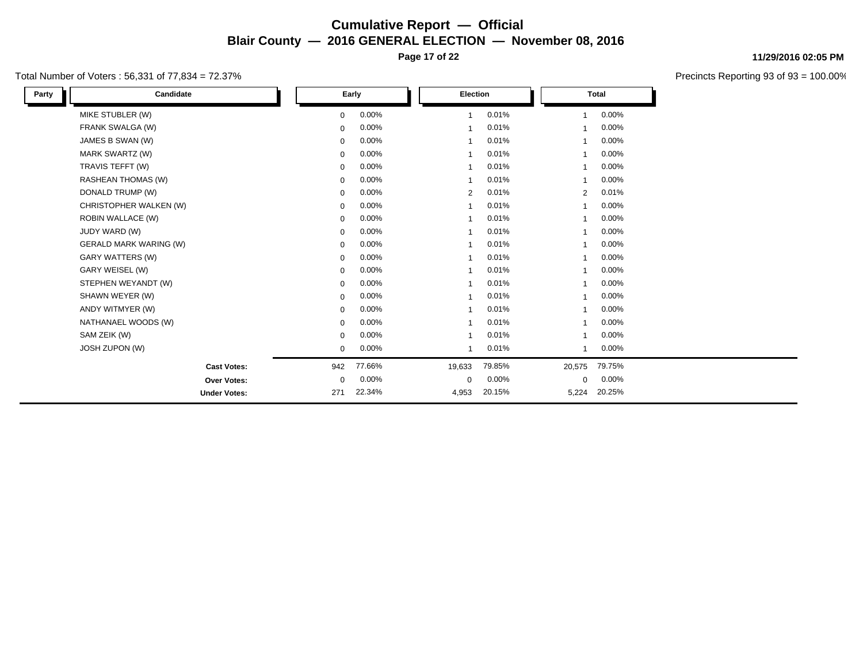**Page 17 of 22**

### Total Number of Voters : 56,331 of 77,834 = 72.37%

| Party | Candidate                     |             | Early  | <b>Election</b> |        |                         | <b>Total</b> |  |
|-------|-------------------------------|-------------|--------|-----------------|--------|-------------------------|--------------|--|
|       | MIKE STUBLER (W)              | $\mathbf 0$ | 0.00%  |                 | 0.01%  | 1                       | 0.00%        |  |
|       | FRANK SWALGA (W)              | $\mathbf 0$ | 0.00%  |                 | 0.01%  | 1                       | 0.00%        |  |
|       | JAMES B SWAN (W)              | $\mathbf 0$ | 0.00%  |                 | 0.01%  | 1                       | 0.00%        |  |
|       | <b>MARK SWARTZ (W)</b>        | $\mathbf 0$ | 0.00%  | $\mathbf 1$     | 0.01%  | $\overline{\mathbf{1}}$ | 0.00%        |  |
|       | TRAVIS TEFFT (W)              | $\mathbf 0$ | 0.00%  |                 | 0.01%  | 1                       | 0.00%        |  |
|       | <b>RASHEAN THOMAS (W)</b>     | $\mathbf 0$ | 0.00%  | 1               | 0.01%  | $\overline{\mathbf{1}}$ | 0.00%        |  |
|       | DONALD TRUMP (W)              | $\mathbf 0$ | 0.00%  | 2               | 0.01%  | $\overline{2}$          | 0.01%        |  |
|       | CHRISTOPHER WALKEN (W)        | $\mathbf 0$ | 0.00%  |                 | 0.01%  | 1                       | 0.00%        |  |
|       | <b>ROBIN WALLACE (W)</b>      | $\mathbf 0$ | 0.00%  |                 | 0.01%  | 1                       | 0.00%        |  |
|       | JUDY WARD (W)                 | $\mathbf 0$ | 0.00%  | $\mathbf{1}$    | 0.01%  | $\overline{\mathbf{1}}$ | 0.00%        |  |
|       | <b>GERALD MARK WARING (W)</b> | $\mathbf 0$ | 0.00%  |                 | 0.01%  | 1                       | 0.00%        |  |
|       | <b>GARY WATTERS (W)</b>       | $\mathbf 0$ | 0.00%  | 1               | 0.01%  | -1                      | 0.00%        |  |
|       | GARY WEISEL (W)               | $\mathbf 0$ | 0.00%  | 1               | 0.01%  | 1                       | 0.00%        |  |
|       | STEPHEN WEYANDT (W)           | $\mathbf 0$ | 0.00%  | $\mathbf{1}$    | 0.01%  | $\overline{\mathbf{1}}$ | 0.00%        |  |
|       | SHAWN WEYER (W)               | $\mathbf 0$ | 0.00%  |                 | 0.01%  | 1                       | 0.00%        |  |
|       | ANDY WITMYER (W)              | $\mathbf 0$ | 0.00%  | $\mathbf{1}$    | 0.01%  | $\overline{\mathbf{1}}$ | 0.00%        |  |
|       | NATHANAEL WOODS (W)           | $\mathbf 0$ | 0.00%  |                 | 0.01%  | 1                       | 0.00%        |  |
|       | SAM ZEIK (W)                  | $\mathbf 0$ | 0.00%  | 1               | 0.01%  | 1                       | 0.00%        |  |
|       | JOSH ZUPON (W)                | 0           | 0.00%  | 1               | 0.01%  | 1                       | 0.00%        |  |
|       | <b>Cast Votes:</b>            | 942         | 77.66% | 19,633          | 79.85% | 20,575                  | 79.75%       |  |
|       | Over Votes:                   | $\mathbf 0$ | 0.00%  | $\mathbf 0$     | 0.00%  | 0                       | 0.00%        |  |
|       | <b>Under Votes:</b>           | 271         | 22.34% | 4,953           | 20.15% | 5,224                   | 20.25%       |  |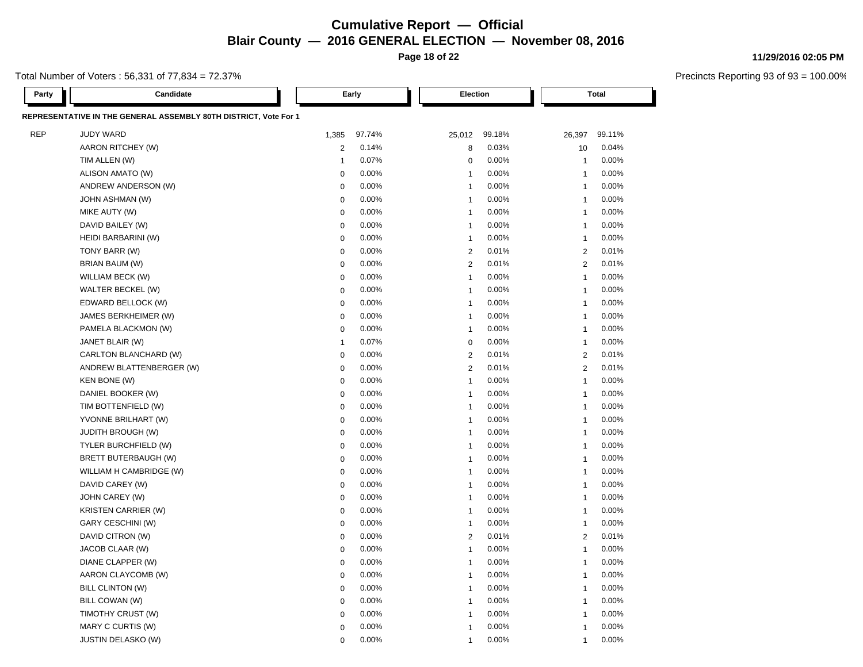**Page 18 of 22**

**11/29/2016 02:05 PM**

|  | Total Number of Voters : 56,331 of 77,834 = 72.37% |  |
|--|----------------------------------------------------|--|
|--|----------------------------------------------------|--|

| Party      | Candidate                                                        |                | Early  | Election                |        |                         | Total  |
|------------|------------------------------------------------------------------|----------------|--------|-------------------------|--------|-------------------------|--------|
|            | REPRESENTATIVE IN THE GENERAL ASSEMBLY 80TH DISTRICT, Vote For 1 |                |        |                         |        |                         |        |
| <b>REP</b> | <b>JUDY WARD</b>                                                 | 1,385          | 97.74% | 25,012                  | 99.18% | 26,397                  | 99.11% |
|            | AARON RITCHEY (W)                                                | 2              | 0.14%  | 8                       | 0.03%  | 10                      | 0.04%  |
|            | TIM ALLEN (W)                                                    | $\overline{1}$ | 0.07%  | $\mathbf 0$             | 0.00%  | $\overline{\mathbf{1}}$ | 0.00%  |
|            | ALISON AMATO (W)                                                 | $\mathbf 0$    | 0.00%  | 1                       | 0.00%  | $\overline{\mathbf{1}}$ | 0.00%  |
|            | ANDREW ANDERSON (W)                                              | $\mathbf 0$    | 0.00%  | 1                       | 0.00%  | $\overline{1}$          | 0.00%  |
|            | <b>JOHN ASHMAN (W)</b>                                           | $\mathbf 0$    | 0.00%  | $\overline{1}$          | 0.00%  | $\overline{1}$          | 0.00%  |
|            | MIKE AUTY (W)                                                    | $\mathbf 0$    | 0.00%  | 1                       | 0.00%  | $\overline{1}$          | 0.00%  |
|            | DAVID BAILEY (W)                                                 | $\mathbf 0$    | 0.00%  | $\overline{1}$          | 0.00%  | $\overline{1}$          | 0.00%  |
|            | HEIDI BARBARINI (W)                                              | $\mathbf 0$    | 0.00%  | 1                       | 0.00%  | $\overline{1}$          | 0.00%  |
|            | TONY BARR (W)                                                    | $\mathbf 0$    | 0.00%  | $\overline{2}$          | 0.01%  | $\mathbf{2}$            | 0.01%  |
|            | BRIAN BAUM (W)                                                   | $\pmb{0}$      | 0.00%  | $\overline{2}$          | 0.01%  | $\overline{2}$          | 0.01%  |
|            | WILLIAM BECK (W)                                                 | $\mathbf 0$    | 0.00%  | $\overline{1}$          | 0.00%  | $\overline{1}$          | 0.00%  |
|            | WALTER BECKEL (W)                                                | $\mathbf 0$    | 0.00%  | 1                       | 0.00%  | $\overline{1}$          | 0.00%  |
|            | EDWARD BELLOCK (W)                                               | $\mathbf 0$    | 0.00%  | $\overline{1}$          | 0.00%  | $\overline{1}$          | 0.00%  |
|            | JAMES BERKHEIMER (W)                                             | $\mathbf 0$    | 0.00%  | 1                       | 0.00%  | $\overline{1}$          | 0.00%  |
|            | PAMELA BLACKMON (W)                                              | $\mathbf 0$    | 0.00%  | $\overline{1}$          | 0.00%  | $\overline{1}$          | 0.00%  |
|            | JANET BLAIR (W)                                                  | $\overline{1}$ | 0.07%  | $\mathbf 0$             | 0.00%  | $\overline{1}$          | 0.00%  |
|            | CARLTON BLANCHARD (W)                                            | $\mathbf 0$    | 0.00%  | $\overline{2}$          | 0.01%  | $\overline{2}$          | 0.01%  |
|            | ANDREW BLATTENBERGER (W)                                         | $\mathbf 0$    | 0.00%  | $\overline{2}$          | 0.01%  | $\overline{2}$          | 0.01%  |
|            | <b>KEN BONE (W)</b>                                              | $\mathbf 0$    | 0.00%  | 1                       | 0.00%  | $\overline{1}$          | 0.00%  |
|            | DANIEL BOOKER (W)                                                | $\mathbf 0$    | 0.00%  | 1                       | 0.00%  | $\overline{1}$          | 0.00%  |
|            | TIM BOTTENFIELD (W)                                              | $\mathbf 0$    | 0.00%  | $\overline{\mathbf{1}}$ | 0.00%  | $\overline{1}$          | 0.00%  |
|            | YVONNE BRILHART (W)                                              | $\mathbf 0$    | 0.00%  | $\overline{1}$          | 0.00%  | $\overline{1}$          | 0.00%  |
|            | <b>JUDITH BROUGH (W)</b>                                         | $\mathbf 0$    | 0.00%  | 1                       | 0.00%  | $\overline{1}$          | 0.00%  |
|            | TYLER BURCHFIELD (W)                                             | $\mathbf 0$    | 0.00%  | $\overline{1}$          | 0.00%  | $\overline{1}$          | 0.00%  |
|            | <b>BRETT BUTERBAUGH (W)</b>                                      | 0              | 0.00%  | 1                       | 0.00%  | $\overline{1}$          | 0.00%  |
|            | WILLIAM H CAMBRIDGE (W)                                          | $\mathbf 0$    | 0.00%  | 1                       | 0.00%  | $\overline{\mathbf{1}}$ | 0.00%  |
|            | DAVID CAREY (W)                                                  | $\mathbf 0$    | 0.00%  | 1                       | 0.00%  | $\overline{\mathbf{1}}$ | 0.00%  |
|            | JOHN CAREY (W)                                                   | $\mathbf 0$    | 0.00%  | 1                       | 0.00%  | $\overline{1}$          | 0.00%  |
|            | <b>KRISTEN CARRIER (W)</b>                                       | $\mathbf 0$    | 0.00%  | 1                       | 0.00%  | 1                       | 0.00%  |
|            | GARY CESCHINI (W)                                                | $\mathbf 0$    | 0.00%  | $\overline{1}$          | 0.00%  | $\overline{1}$          | 0.00%  |
|            | DAVID CITRON (W)                                                 | $\mathbf 0$    | 0.00%  | $\overline{2}$          | 0.01%  | $\mathbf{2}$            | 0.01%  |
|            | JACOB CLAAR (W)                                                  | $\mathbf 0$    | 0.00%  | $\overline{1}$          | 0.00%  | $\overline{1}$          | 0.00%  |
|            | DIANE CLAPPER (W)                                                | $\pmb{0}$      | 0.00%  | 1                       | 0.00%  | $\overline{1}$          | 0.00%  |
|            | AARON CLAYCOMB (W)                                               | $\mathbf 0$    | 0.00%  | $\overline{\mathbf{1}}$ | 0.00%  | $\overline{1}$          | 0.00%  |
|            | <b>BILL CLINTON (W)</b>                                          | $\mathbf 0$    | 0.00%  | 1                       | 0.00%  | $\overline{1}$          | 0.00%  |
|            | BILL COWAN (W)                                                   | $\mathbf 0$    | 0.00%  | $\overline{1}$          | 0.00%  | $\overline{1}$          | 0.00%  |
|            | TIMOTHY CRUST (W)                                                | $\mathbf 0$    | 0.00%  | 1                       | 0.00%  | $\overline{1}$          | 0.00%  |
|            | MARY C CURTIS (W)                                                | $\mathbf 0$    | 0.00%  | 1                       | 0.00%  | $\overline{1}$          | 0.00%  |
|            | <b>JUSTIN DELASKO (W)</b>                                        | $\Omega$       | 0.00%  | 1                       | 0.00%  | $\overline{1}$          | 0.00%  |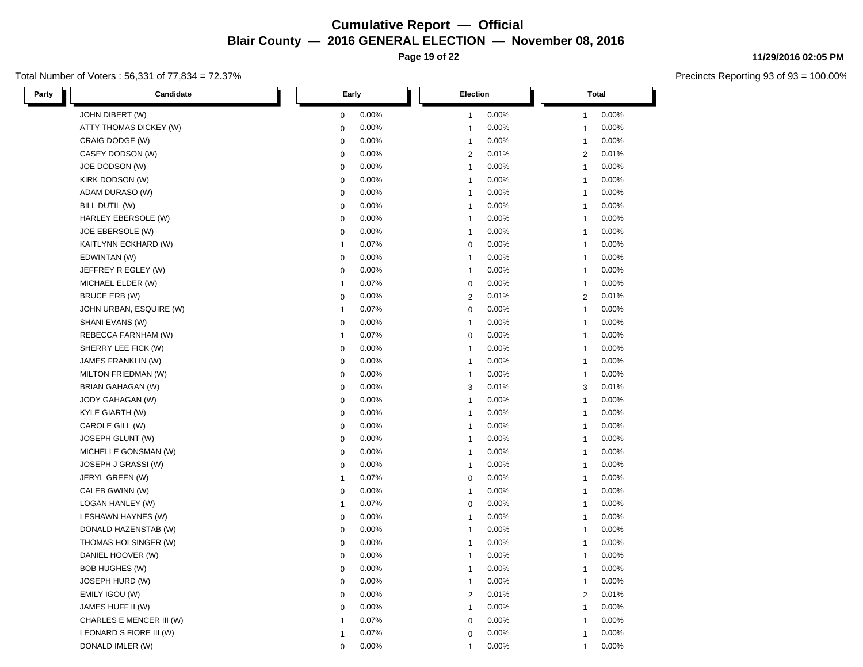**Page 19 of 22**

### Total Number of Voters : 56,331 of 77,834 = 72.37%

**11/29/2016 02:05 PM**

| Party<br>Candidate       | Early          | Election       | <b>Total</b>   |  |
|--------------------------|----------------|----------------|----------------|--|
| JOHN DIBERT (W)          | 0.00%          | 0.00%          | 0.00%          |  |
|                          | $\mathbf 0$    | $\mathbf{1}$   | 1              |  |
| ATTY THOMAS DICKEY (W)   | 0.00%          | 0.00%          | 0.00%          |  |
|                          | $\mathbf 0$    | $\mathbf{1}$   | $\mathbf{1}$   |  |
| CRAIG DODGE (W)          | 0.00%          | 0.00%          | 0.00%          |  |
|                          | $\mathbf 0$    | $\mathbf{1}$   | $\mathbf{1}$   |  |
| CASEY DODSON (W)         | 0.00%          | $\overline{2}$ | 0.01%          |  |
|                          | $\pmb{0}$      | 0.01%          | $\overline{2}$ |  |
| JOE DODSON (W)           | 0.00%          | 0.00%          | 0.00%          |  |
|                          | $\pmb{0}$      | $\overline{1}$ | $\mathbf{1}$   |  |
| KIRK DODSON (W)          | $\mathbf 0$    | 0.00%          | 0.00%          |  |
|                          | 0.00%          | $\overline{1}$ | $\mathbf{1}$   |  |
| ADAM DURASO (W)          | 0.00%          | 0.00%          | 0.00%          |  |
|                          | $\mathbf 0$    | $\mathbf{1}$   | $\mathbf{1}$   |  |
| BILL DUTIL (W)           | $\mathbf 0$    | 0.00%          | 0.00%          |  |
|                          | 0.00%          | $\mathbf{1}$   | $\overline{1}$ |  |
| HARLEY EBERSOLE (W)      | 0.00%          | 0.00%          | 0.00%          |  |
|                          | $\pmb{0}$      | $\overline{1}$ | $\overline{1}$ |  |
| JOE EBERSOLE (W)         | 0.00%          | 0.00%          | 0.00%          |  |
|                          | $\mathbf 0$    | $\mathbf{1}$   | $\mathbf{1}$   |  |
| KAITLYNN ECKHARD (W)     | 0.07%          | 0.00%          | 0.00%          |  |
|                          | $\mathbf{1}$   | $\overline{0}$ | $\mathbf{1}$   |  |
| EDWINTAN (W)             | 0.00%          | $\overline{1}$ | 0.00%          |  |
|                          | $\mathbf 0$    | 0.00%          | 1              |  |
| JEFFREY R EGLEY (W)      | 0.00%          | 0.00%          | 0.00%          |  |
|                          | $\pmb{0}$      | $\overline{1}$ | $\overline{1}$ |  |
| MICHAEL ELDER (W)        | 0.07%          | 0.00%          | 0.00%          |  |
|                          | $\mathbf{1}$   | $\mathbf 0$    | $\mathbf{1}$   |  |
| <b>BRUCE ERB (W)</b>     | 0.00%          | $\overline{2}$ | 0.01%          |  |
|                          | $\mathbf 0$    | 0.01%          | $\overline{2}$ |  |
| JOHN URBAN, ESQUIRE (W)  | 0.07%          | $\mathbf 0$    | 0.00%          |  |
|                          | $\mathbf{1}$   | 0.00%          | $\overline{1}$ |  |
| SHANI EVANS (W)          | 0.00%          | 0.00%          | 0.00%          |  |
|                          | $\mathbf 0$    | $\overline{1}$ | $\overline{1}$ |  |
| REBECCA FARNHAM (W)      | 0.07%          | 0.00%          | 0.00%          |  |
|                          | $\mathbf{1}$   | $\mathbf 0$    | $\mathbf{1}$   |  |
| SHERRY LEE FICK (W)      | 0.00%          | 0.00%          | 0.00%          |  |
|                          | $\mathbf 0$    | $\mathbf{1}$   | 1              |  |
| JAMES FRANKLIN (W)       | 0.00%          | 0.00%          | 0.00%          |  |
|                          | $\pmb{0}$      | $\mathbf{1}$   | $\mathbf{1}$   |  |
| MILTON FRIEDMAN (W)      | 0.00%          | 0.00%          | 0.00%          |  |
|                          | $\mathbf 0$    | $\mathbf{1}$   | $\mathbf{1}$   |  |
| BRIAN GAHAGAN (W)        | 0.00%          | 3              | 0.01%          |  |
|                          | $\mathbf 0$    | 0.01%          | 3              |  |
| <b>JODY GAHAGAN (W)</b>  | $\mathbf 0$    | 0.00%          | 0.00%          |  |
|                          | 0.00%          | $\mathbf{1}$   | $\mathbf{1}$   |  |
| KYLE GIARTH (W)          | 0.00%          | 0.00%          | 0.00%          |  |
|                          | $\mathbf 0$    | $\overline{1}$ | -1             |  |
| CAROLE GILL (W)          | 0.00%          | 0.00%          | 0.00%          |  |
|                          | $\mathbf 0$    | $\mathbf{1}$   | $\overline{1}$ |  |
| JOSEPH GLUNT (W)         | 0.00%          | 0.00%          | 0.00%          |  |
|                          | $\mathbf 0$    | $\mathbf{1}$   | 1              |  |
| MICHELLE GONSMAN (W)     | 0.00%          | 0.00%          | 0.00%          |  |
|                          | $\mathbf 0$    | $\overline{1}$ | $\mathbf{1}$   |  |
| JOSEPH J GRASSI (W)      | 0.00%          | $\mathbf{1}$   | 0.00%          |  |
|                          | $\pmb{0}$      | 0.00%          | $\mathbf{1}$   |  |
| JERYL GREEN (W)          | 0.07%          | 0.00%          | 0.00%          |  |
|                          | $\mathbf{1}$   | $\mathbf 0$    | $\mathbf{1}$   |  |
| CALEB GWINN (W)          | 0.00%          | 0.00%          | 0.00%          |  |
|                          | $\mathbf 0$    | $\mathbf{1}$   | $\mathbf{1}$   |  |
| LOGAN HANLEY (W)         | 0.07%          | $\overline{0}$ | 0.00%          |  |
|                          | $\overline{1}$ | 0.00%          | $\mathbf{1}$   |  |
| LESHAWN HAYNES (W)       | 0.00%          | 0.00%          | 0.00%          |  |
|                          | $\pmb{0}$      | $\mathbf{1}$   | $\mathbf{1}$   |  |
| DONALD HAZENSTAB (W)     | 0.00%          | 0.00%          | 0.00%          |  |
|                          | $\mathbf 0$    | $\mathbf{1}$   | 1              |  |
| THOMAS HOLSINGER (W)     | 0.00%          | 0.00%          | 0.00%          |  |
|                          | $\mathbf 0$    | $\mathbf{1}$   | $\mathbf{1}$   |  |
| DANIEL HOOVER (W)        | 0.00%          | 0.00%          | 0.00%          |  |
|                          | $\mathbf 0$    | $\mathbf{1}$   | $\mathbf{1}$   |  |
| <b>BOB HUGHES (W)</b>    | 0.00%          | 0.00%          | 0.00%          |  |
|                          | $\pmb{0}$      | $\mathbf{1}$   | -1             |  |
| JOSEPH HURD (W)          | $\mathbf 0$    | 0.00%          | 0.00%          |  |
|                          | $0.00\%$       | $\mathbf{1}$   | $\mathbf{1}$   |  |
| EMILY IGOU (W)           | $\mathbf 0$    | $\overline{2}$ | $\sqrt{2}$     |  |
|                          | 0.00%          | 0.01%          | 0.01%          |  |
| JAMES HUFF II (W)        | 0.00%          | 0.00%          | 0.00%          |  |
|                          | $\mathbf 0$    | $\mathbf{1}$   | $\mathbf{1}$   |  |
| CHARLES E MENCER III (W) | 0.07%          | 0.00%          | 0.00%          |  |
|                          | $\overline{1}$ | $\mathbf 0$    | 1              |  |
| LEONARD S FIORE III (W)  | 0.07%          | 0.00%          | 0.00%          |  |
|                          | $\overline{1}$ | $\mathbf 0$    | $\mathbf{1}$   |  |
| DONALD IMLER (W)         | 0.00%          | 0.00%          | 0.00%          |  |
|                          | $\mathbf 0$    | 1              | 1              |  |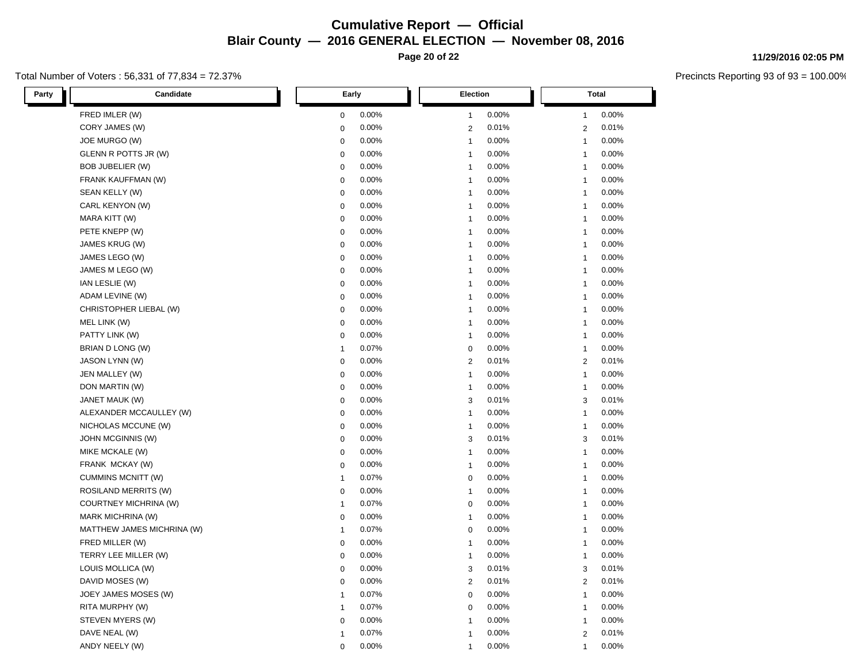**Page 20 of 22**

### Total Number of Voters : 56,331 of 77,834 = 72.37%

**11/29/2016 02:05 PM**

| Candidate<br>Party           | Early        | Election       | <b>Total</b>   |  |
|------------------------------|--------------|----------------|----------------|--|
| FRED IMLER (W)               | 0.00%        | 0.00%          | 0.00%          |  |
|                              | $\mathbf 0$  | $\mathbf{1}$   | $\mathbf{1}$   |  |
| CORY JAMES (W)               | 0.00%        | 0.01%          | 0.01%          |  |
|                              | $\mathbf 0$  | $\overline{2}$ | $\sqrt{2}$     |  |
| JOE MURGO (W)                | 0.00%        | 0.00%          | 0.00%          |  |
|                              | $\mathbf 0$  | $\overline{1}$ | $\mathbf{1}$   |  |
| GLENN R POTTS JR (W)         | 0.00%        | 0.00%          | 0.00%          |  |
|                              | $\mathbf 0$  | $\mathbf{1}$   | $\mathbf{1}$   |  |
| BOB JUBELIER (W)             | 0.00%        | $\mathbf{1}$   | 0.00%          |  |
|                              | $\mathbf 0$  | 0.00%          | $\mathbf{1}$   |  |
| FRANK KAUFFMAN (W)           | 0.00%        | 0.00%          | 0.00%          |  |
|                              | $\mathbf 0$  | $\mathbf{1}$   | $\mathbf{1}$   |  |
| SEAN KELLY (W)               | 0.00%        | 0.00%          | 0.00%          |  |
|                              | $\mathbf 0$  | $\mathbf{1}$   | $\mathbf{1}$   |  |
| CARL KENYON (W)              | 0.00%        | 0.00%          | 0.00%          |  |
|                              | $\mathsf 0$  | $\mathbf{1}$   | $\mathbf{1}$   |  |
| MARA KITT (W)                | $\mathsf 0$  | 0.00%          | 0.00%          |  |
|                              | 0.00%        | $\overline{1}$ | $\mathbf{1}$   |  |
| PETE KNEPP (W)               | 0.00%        | 0.00%          | 0.00%          |  |
|                              | $\mathsf 0$  | $\mathbf{1}$   | $\mathbf{1}$   |  |
| JAMES KRUG (W)               | 0.00%        | 0.00%          | 0.00%          |  |
|                              | $\mathbf 0$  | $\overline{1}$ | $\mathbf{1}$   |  |
| JAMES LEGO (W)               | 0.00%        | 0.00%          | 0.00%          |  |
|                              | $\mathbf 0$  | $\overline{1}$ | $\mathbf{1}$   |  |
| JAMES M LEGO (W)             | 0.00%        | $\mathbf{1}$   | 0.00%          |  |
|                              | $\mathbf 0$  | 0.00%          | $\mathbf{1}$   |  |
| IAN LESLIE (W)               | 0.00%        | 0.00%          | 0.00%          |  |
|                              | $\mathbf 0$  | $\mathbf{1}$   | $\mathbf{1}$   |  |
| ADAM LEVINE (W)              | 0.00%        | 0.00%          | 0.00%          |  |
|                              | $\mathbf 0$  | $\mathbf{1}$   | $\mathbf{1}$   |  |
| CHRISTOPHER LIEBAL (W)       | 0.00%        | $\overline{1}$ | 0.00%          |  |
|                              | $\mathbf 0$  | 0.00%          | $\mathbf{1}$   |  |
| MEL LINK (W)                 | 0.00%        | 0.00%          | 0.00%          |  |
|                              | $\mathbf 0$  | $\mathbf{1}$   | $\mathbf{1}$   |  |
| PATTY LINK (W)               | 0.00%        | 0.00%          | 0.00%          |  |
|                              | $\mathbf 0$  | $\overline{1}$ | $\mathbf{1}$   |  |
| BRIAN D LONG (W)             | 0.07%        | 0.00%          | 0.00%          |  |
|                              | $\mathbf{1}$ | $\pmb{0}$      | $\mathbf{1}$   |  |
| JASON LYNN (W)               | 0.00%        | $\overline{2}$ | 0.01%          |  |
|                              | $\mathbf 0$  | 0.01%          | $\overline{2}$ |  |
| JEN MALLEY (W)               | 0.00%        | 0.00%          | 0.00%          |  |
|                              | $\mathbf 0$  | $\mathbf{1}$   | $\mathbf{1}$   |  |
| DON MARTIN (W)               | 0.00%        | 0.00%          | 0.00%          |  |
|                              | $\mathbf 0$  | $\mathbf{1}$   | $\mathbf{1}$   |  |
| JANET MAUK (W)               | $\mathbf 0$  | 0.01%          | 0.01%          |  |
|                              | 0.00%        | 3              | 3              |  |
| ALEXANDER MCCAULLEY (W)      | 0.00%        | 0.00%          | 0.00%          |  |
|                              | $\mathbf 0$  | $\mathbf{1}$   | $\mathbf{1}$   |  |
| NICHOLAS MCCUNE (W)          | 0.00%        | 0.00%          | 0.00%          |  |
|                              | $\mathsf 0$  | $\mathbf{1}$   | $\mathbf{1}$   |  |
| JOHN MCGINNIS (W)            | 0.00%        | 0.01%          | 0.01%          |  |
|                              | $\mathbf 0$  | 3              | 3              |  |
| MIKE MCKALE (W)              | $\mathbf 0$  | 0.00%          | 0.00%          |  |
|                              | 0.00%        | $\mathbf{1}$   | $\mathbf{1}$   |  |
| FRANK MCKAY (W)              | 0.00%        | 0.00%          | 0.00%          |  |
|                              | 0            | $\mathbf{1}$   | $\mathbf{1}$   |  |
| <b>CUMMINS MCNITT (W)</b>    | 0.07%        | 0.00%          | 0.00%          |  |
|                              | $\mathbf{1}$ | $\mathbf 0$    | $\mathbf{1}$   |  |
| <b>ROSILAND MERRITS (W)</b>  | 0.00%        | 0.00%          | 0.00%          |  |
|                              | $\mathbf 0$  | $\mathbf{1}$   | $\mathbf{1}$   |  |
| <b>COURTNEY MICHRINA (W)</b> | 0.07%        | $\mathbf 0$    | 0.00%          |  |
|                              | $\mathbf{1}$ | 0.00%          | $\mathbf{1}$   |  |
| MARK MICHRINA (W)            | 0.00%        | 0.00%          | 0.00%          |  |
|                              | $\mathbf 0$  | $\mathbf{1}$   | $\mathbf{1}$   |  |
| MATTHEW JAMES MICHRINA (W)   | 0.07%        | 0.00%          | 0.00%          |  |
|                              | $\mathbf{1}$ | $\mathbf 0$    | $\mathbf{1}$   |  |
| FRED MILLER (W)              | 0.00%        | 0.00%          | 0.00%          |  |
|                              | $\mathsf 0$  | $\overline{1}$ | $\mathbf{1}$   |  |
| TERRY LEE MILLER (W)         | 0.00%        | 0.00%          | 0.00%          |  |
|                              | $\mathbf 0$  | $\mathbf{1}$   | $\mathbf{1}$   |  |
| LOUIS MOLLICA (W)            | $\pmb{0}$    | 3              | 0.01%          |  |
|                              | 0.00%        | 0.01%          | 3              |  |
| DAVID MOSES (W)              | 0.00%        | $\sqrt{2}$     | 0.01%          |  |
|                              | $\mathbf 0$  | 0.01%          | $\overline{2}$ |  |
| JOEY JAMES MOSES (W)         | 0.07%        | $\mathbf 0$    | 0.00%          |  |
|                              | $\mathbf{1}$ | 0.00%          | $\mathbf{1}$   |  |
| RITA MURPHY (W)              | 0.07%        | $\pmb{0}$      | 0.00%          |  |
|                              | $\mathbf{1}$ | 0.00%          | $\mathbf{1}$   |  |
| STEVEN MYERS (W)             | 0.00%        | 0.00%          | 0.00%          |  |
|                              | $\mathbf 0$  | $\overline{1}$ | $\mathbf{1}$   |  |
| DAVE NEAL (W)                | 0.07%        | 0.00%          | 0.01%          |  |
|                              | $\mathbf{1}$ | $\mathbf{1}$   | $\overline{2}$ |  |
| ANDY NEELY (W)               | $\mathbf 0$  | 0.00%          | 0.00%          |  |
|                              | 0.00%        | 1              | $\mathbf{1}$   |  |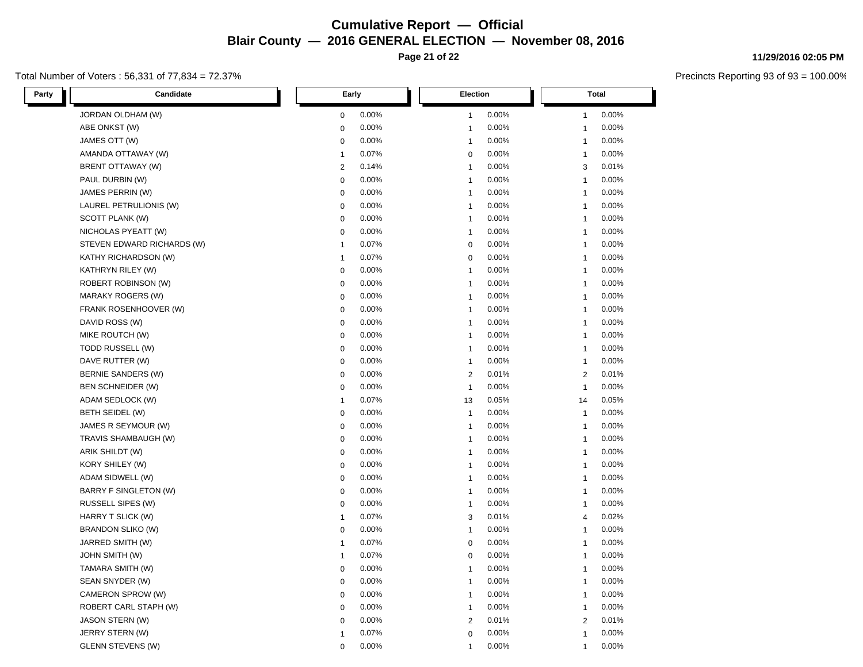**Page 21 of 22**

### Total Number of Voters : 56,331 of 77,834 = 72.37%

**11/29/2016 02:05 PM**

| Party | Candidate                    | Early          |       | <b>Election</b>         |                | <b>Total</b> |  |
|-------|------------------------------|----------------|-------|-------------------------|----------------|--------------|--|
|       | JORDAN OLDHAM (W)            | $\mathbf 0$    | 0.00% | 0.00%<br>$\mathbf{1}$   | 1              | 0.00%        |  |
|       | ABE ONKST (W)                | $\mathbf 0$    | 0.00% | 0.00%<br>$\mathbf{1}$   | 1              | 0.00%        |  |
|       | JAMES OTT (W)                | 0              | 0.00% | 0.00%<br>$\mathbf{1}$   | $\mathbf{1}$   | 0.00%        |  |
|       | AMANDA OTTAWAY (W)           | $\mathbf{1}$   | 0.07% | 0.00%<br>$\mathbf 0$    | 1              | 0.00%        |  |
|       | BRENT OTTAWAY (W)            | $\overline{2}$ | 0.14% | 0.00%<br>$\mathbf{1}$   | 3              | 0.01%        |  |
|       | PAUL DURBIN (W)              | $\mathbf 0$    | 0.00% | 0.00%<br>$\mathbf{1}$   | $\mathbf{1}$   | 0.00%        |  |
|       | JAMES PERRIN (W)             | $\mathbf 0$    | 0.00% | 0.00%<br>$\mathbf{1}$   | 1              | 0.00%        |  |
|       | LAUREL PETRULIONIS (W)       | $\mathbf 0$    | 0.00% | 0.00%<br>$\overline{1}$ | 1              | 0.00%        |  |
|       | SCOTT PLANK (W)              | $\mathbf 0$    | 0.00% | 0.00%<br>$\mathbf{1}$   | 1              | 0.00%        |  |
|       | NICHOLAS PYEATT (W)          | 0              | 0.00% | 0.00%<br>$\mathbf{1}$   | 1              | 0.00%        |  |
|       | STEVEN EDWARD RICHARDS (W)   | $\mathbf{1}$   | 0.07% | 0.00%<br>$\mathbf 0$    | 1              | 0.00%        |  |
|       | KATHY RICHARDSON (W)         | $\mathbf{1}$   | 0.07% | 0<br>0.00%              | $\mathbf{1}$   | 0.00%        |  |
|       | KATHRYN RILEY (W)            | $\mathbf 0$    | 0.00% | 0.00%<br>$\mathbf{1}$   | $\mathbf{1}$   | 0.00%        |  |
|       | <b>ROBERT ROBINSON (W)</b>   | $\mathbf 0$    | 0.00% | 0.00%<br>$\mathbf{1}$   | $\mathbf{1}$   | 0.00%        |  |
|       | <b>MARAKY ROGERS (W)</b>     | $\mathbf 0$    | 0.00% | 0.00%<br>$\overline{1}$ | 1              | 0.00%        |  |
|       | FRANK ROSENHOOVER (W)        | $\mathbf 0$    | 0.00% | 0.00%<br>$\mathbf{1}$   | 1              | 0.00%        |  |
|       | DAVID ROSS (W)               | 0              | 0.00% | 0.00%<br>$\mathbf{1}$   | $\mathbf{1}$   | 0.00%        |  |
|       | MIKE ROUTCH (W)              | $\mathbf 0$    | 0.00% | 0.00%<br>$\mathbf{1}$   | 1              | 0.00%        |  |
|       | TODD RUSSELL (W)             | $\mathbf 0$    | 0.00% | 0.00%<br>$\mathbf{1}$   | 1              | 0.00%        |  |
|       | DAVE RUTTER (W)              | $\mathbf 0$    | 0.00% | 0.00%<br>$\mathbf{1}$   | 1              | 0.00%        |  |
|       | BERNIE SANDERS (W)           | $\mathbf 0$    | 0.00% | $\overline{2}$<br>0.01% | $\overline{2}$ | 0.01%        |  |
|       | <b>BEN SCHNEIDER (W)</b>     | $\mathbf 0$    | 0.00% | 0.00%<br>$\overline{1}$ | 1              | 0.00%        |  |
|       | ADAM SEDLOCK (W)             | $\mathbf{1}$   | 0.07% | 0.05%<br>13             | 14             | 0.05%        |  |
|       | BETH SEIDEL (W)              | $\mathbf 0$    | 0.00% | $\mathbf{1}$<br>0.00%   | $\mathbf{1}$   | 0.00%        |  |
|       | JAMES R SEYMOUR (W)          | $\mathbf 0$    | 0.00% | 0.00%<br>$\mathbf{1}$   | $\mathbf{1}$   | 0.00%        |  |
|       | TRAVIS SHAMBAUGH (W)         | $\mathbf 0$    | 0.00% | 0.00%<br>$\mathbf{1}$   | 1              | 0.00%        |  |
|       | ARIK SHILDT (W)              | $\mathbf 0$    | 0.00% | 0.00%<br>$\mathbf{1}$   | 1              | 0.00%        |  |
|       | KORY SHILEY (W)              | $\mathbf 0$    | 0.00% | 0.00%<br>$\mathbf{1}$   | 1              | 0.00%        |  |
|       | ADAM SIDWELL (W)             | $\mathbf 0$    | 0.00% | 0.00%<br>$\overline{1}$ | 1              | 0.00%        |  |
|       | <b>BARRY F SINGLETON (W)</b> | 0              | 0.00% | 0.00%<br>$\overline{1}$ | 1              | 0.00%        |  |
|       | RUSSELL SIPES (W)            | $\mathbf 0$    | 0.00% | 0.00%<br>$\overline{1}$ | 1              | 0.00%        |  |
|       | HARRY T SLICK (W)            | 1              | 0.07% | 0.01%<br>3              | 4              | 0.02%        |  |
|       | <b>BRANDON SLIKO (W)</b>     | $\mathbf 0$    | 0.00% | 0.00%<br>$\mathbf{1}$   | 1              | 0.00%        |  |
|       | JARRED SMITH (W)             | $\mathbf{1}$   | 0.07% | 0.00%<br>0              | $\mathbf{1}$   | 0.00%        |  |
|       | <b>JOHN SMITH (W)</b>        | $\mathbf{1}$   | 0.07% | $\mathbf 0$<br>0.00%    | $\mathbf{1}$   | 0.00%        |  |
|       | TAMARA SMITH (W)             | $\mathbf 0$    | 0.00% | 0.00%<br>$\mathbf{1}$   | 1              | 0.00%        |  |
|       | SEAN SNYDER (W)              | 0              | 0.00% | 0.00%<br>1              | 1              | 0.00%        |  |
|       | CAMERON SPROW (W)            | $\pmb{0}$      | 0.00% | 0.00%<br>$\overline{1}$ | 1              | 0.00%        |  |
|       | ROBERT CARL STAPH (W)        | 0              | 0.00% | 0.00%<br>$\mathbf{1}$   | 1              | 0.00%        |  |
|       | <b>JASON STERN (W)</b>       | 0              | 0.00% | 0.01%<br>$\overline{2}$ | $\overline{2}$ | 0.01%        |  |
|       | JERRY STERN (W)              | $\mathbf 1$    | 0.07% | 0.00%<br>$\mathbf 0$    | 1              | 0.00%        |  |
|       | <b>GLENN STEVENS (W)</b>     | $\mathbf 0$    | 0.00% | 0.00%<br>1              | 1              | 0.00%        |  |